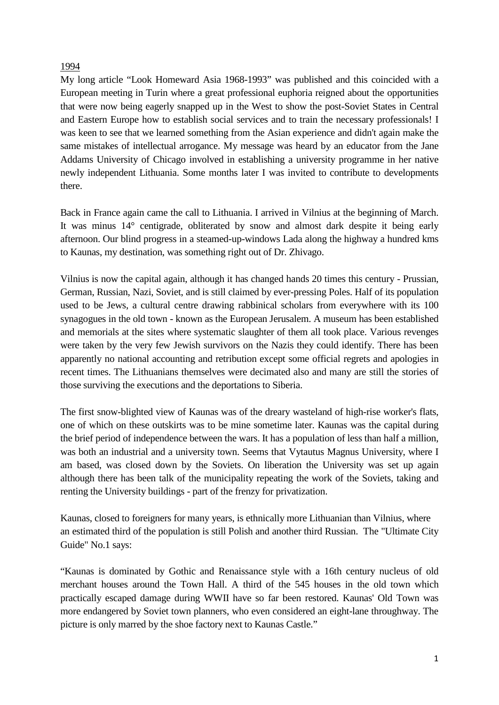## 1994

My long article "Look Homeward Asia 1968-1993" was published and this coincided with a European meeting in Turin where a great professional euphoria reigned about the opportunities that were now being eagerly snapped up in the West to show the post-Soviet States in Central and Eastern Europe how to establish social services and to train the necessary professionals! I was keen to see that we learned something from the Asian experience and didn't again make the same mistakes of intellectual arrogance. My message was heard by an educator from the Jane Addams University of Chicago involved in establishing a university programme in her native newly independent Lithuania. Some months later I was invited to contribute to developments there.

Back in France again came the call to Lithuania. I arrived in Vilnius at the beginning of March. It was minus 14° centigrade, obliterated by snow and almost dark despite it being early afternoon. Our blind progress in a steamed-up-windows Lada along the highway a hundred kms to Kaunas, my destination, was something right out of Dr. Zhivago.

Vilnius is now the capital again, although it has changed hands 20 times this century - Prussian, German, Russian, Nazi, Soviet, and is still claimed by ever-pressing Poles. Half of its population used to be Jews, a cultural centre drawing rabbinical scholars from everywhere with its 100 synagogues in the old town - known as the European Jerusalem. A museum has been established and memorials at the sites where systematic slaughter of them all took place. Various revenges were taken by the very few Jewish survivors on the Nazis they could identify. There has been apparently no national accounting and retribution except some official regrets and apologies in recent times. The Lithuanians themselves were decimated also and many are still the stories of those surviving the executions and the deportations to Siberia.

The first snow-blighted view of Kaunas was of the dreary wasteland of high-rise worker's flats, one of which on these outskirts was to be mine sometime later. Kaunas was the capital during the brief period of independence between the wars. It has a population of less than half a million, was both an industrial and a university town. Seems that Vytautus Magnus University, where I am based, was closed down by the Soviets. On liberation the University was set up again although there has been talk of the municipality repeating the work of the Soviets, taking and renting the University buildings - part of the frenzy for privatization.

Kaunas, closed to foreigners for many years, is ethnically more Lithuanian than Vilnius, where an estimated third of the population is still Polish and another third Russian. The "Ultimate City Guide" No.1 says:

"Kaunas is dominated by Gothic and Renaissance style with a 16th century nucleus of old merchant houses around the Town Hall. A third of the 545 houses in the old town which practically escaped damage during WWII have so far been restored. Kaunas' Old Town was more endangered by Soviet town planners, who even considered an eight-lane throughway. The picture is only marred by the shoe factory next to Kaunas Castle."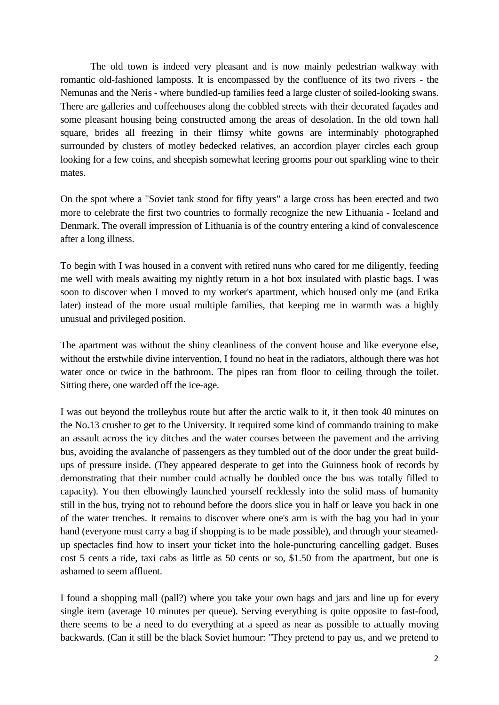The old town is indeed very pleasant and is now mainly pedestrian walkway with romantic old-fashioned lamposts. It is encompassed by the confluence of its two rivers - the Nemunas and the Neris - where bundled-up families feed a large cluster of soiled-looking swans. There are galleries and coffeehouses along the cobbled streets with their decorated façades and some pleasant housing being constructed among the areas of desolation. In the old town hall square, brides all freezing in their flimsy white gowns are interminably photographed surrounded by clusters of motley bedecked relatives, an accordion player circles each group looking for a few coins, and sheepish somewhat leering grooms pour out sparkling wine to their mates.

On the spot where a "Soviet tank stood for fifty years" a large cross has been erected and two more to celebrate the first two countries to formally recognize the new Lithuania - Iceland and Denmark. The overall impression of Lithuania is of the country entering a kind of convalescence after a long illness.

To begin with I was housed in a convent with retired nuns who cared for me diligently, feeding me well with meals awaiting my nightly return in a hot box insulated with plastic bags. I was soon to discover when I moved to my worker's apartment, which housed only me (and Erika later) instead of the more usual multiple families, that keeping me in warmth was a highly unusual and privileged position.

The apartment was without the shiny cleanliness of the convent house and like everyone else, without the erstwhile divine intervention, I found no heat in the radiators, although there was hot water once or twice in the bathroom. The pipes ran from floor to ceiling through the toilet. Sitting there, one warded off the ice-age.

I was out beyond the trolleybus route but after the arctic walk to it, it then took 40 minutes on the No.13 crusher to get to the University. It required some kind of commando training to make an assault across the icy ditches and the water courses between the pavement and the arriving bus, avoiding the avalanche of passengers as they tumbled out of the door under the great buildups of pressure inside. (They appeared desperate to get into the Guinness book of records by demonstrating that their number could actually be doubled once the bus was totally filled to capacity). You then elbowingly launched yourself recklessly into the solid mass of humanity still in the bus, trying not to rebound before the doors slice you in half or leave you back in one of the water trenches. It remains to discover where one's arm is with the bag you had in your hand (everyone must carry a bag if shopping is to be made possible), and through your steamedup spectacles find how to insert your ticket into the hole-puncturing cancelling gadget. Buses cost 5 cents a ride, taxi cabs as little as 50 cents or so, \$1.50 from the apartment, but one is ashamed to seem affluent.

I found a shopping mall (pall?) where you take your own bags and jars and line up for every single item (average 10 minutes per queue). Serving everything is quite opposite to fast-food, there seems to be a need to do everything at a speed as near as possible to actually moving backwards. (Can it still be the black Soviet humour: "They pretend to pay us, and we pretend to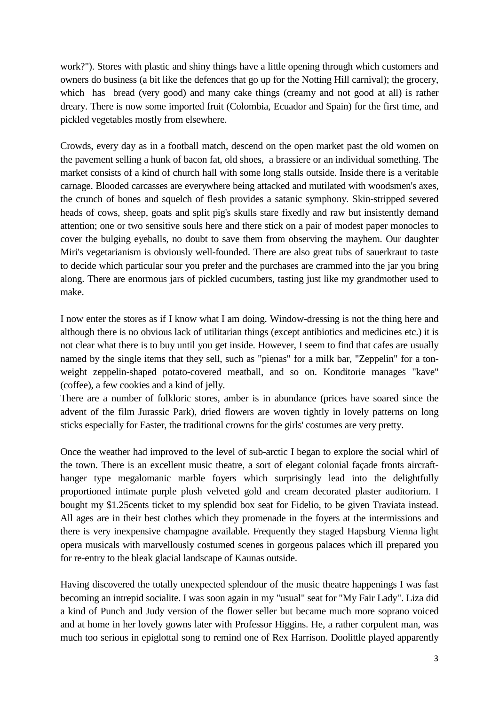work?"). Stores with plastic and shiny things have a little opening through which customers and owners do business (a bit like the defences that go up for the Notting Hill carnival); the grocery, which has bread (very good) and many cake things (creamy and not good at all) is rather dreary. There is now some imported fruit (Colombia, Ecuador and Spain) for the first time, and pickled vegetables mostly from elsewhere.

Crowds, every day as in a football match, descend on the open market past the old women on the pavement selling a hunk of bacon fat, old shoes, a brassiere or an individual something. The market consists of a kind of church hall with some long stalls outside. Inside there is a veritable carnage. Blooded carcasses are everywhere being attacked and mutilated with woodsmen's axes, the crunch of bones and squelch of flesh provides a satanic symphony. Skin-stripped severed heads of cows, sheep, goats and split pig's skulls stare fixedly and raw but insistently demand attention; one or two sensitive souls here and there stick on a pair of modest paper monocles to cover the bulging eyeballs, no doubt to save them from observing the mayhem. Our daughter Miri's vegetarianism is obviously well-founded. There are also great tubs of sauerkraut to taste to decide which particular sour you prefer and the purchases are crammed into the jar you bring along. There are enormous jars of pickled cucumbers, tasting just like my grandmother used to make.

I now enter the stores as if I know what I am doing. Window-dressing is not the thing here and although there is no obvious lack of utilitarian things (except antibiotics and medicines etc.) it is not clear what there is to buy until you get inside. However, I seem to find that cafes are usually named by the single items that they sell, such as "pienas" for a milk bar, "Zeppelin" for a tonweight zeppelin-shaped potato-covered meatball, and so on. Konditorie manages "kave" (coffee), a few cookies and a kind of jelly.

There are a number of folkloric stores, amber is in abundance (prices have soared since the advent of the film Jurassic Park), dried flowers are woven tightly in lovely patterns on long sticks especially for Easter, the traditional crowns for the girls' costumes are very pretty.

Once the weather had improved to the level of sub-arctic I began to explore the social whirl of the town. There is an excellent music theatre, a sort of elegant colonial façade fronts aircrafthanger type megalomanic marble foyers which surprisingly lead into the delightfully proportioned intimate purple plush velveted gold and cream decorated plaster auditorium. I bought my \$1.25cents ticket to my splendid box seat for Fidelio, to be given Traviata instead. All ages are in their best clothes which they promenade in the foyers at the intermissions and there is very inexpensive champagne available. Frequently they staged Hapsburg Vienna light opera musicals with marvellously costumed scenes in gorgeous palaces which ill prepared you for re-entry to the bleak glacial landscape of Kaunas outside.

Having discovered the totally unexpected splendour of the music theatre happenings I was fast becoming an intrepid socialite. I was soon again in my "usual" seat for "My Fair Lady". Liza did a kind of Punch and Judy version of the flower seller but became much more soprano voiced and at home in her lovely gowns later with Professor Higgins. He, a rather corpulent man, was much too serious in epiglottal song to remind one of Rex Harrison. Doolittle played apparently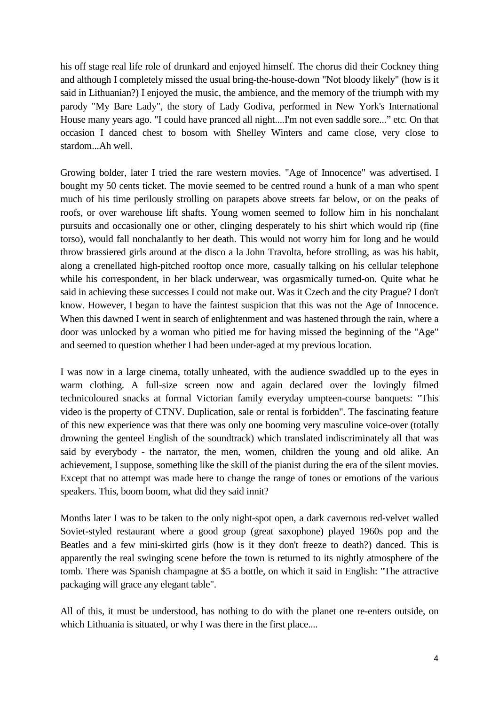his off stage real life role of drunkard and enjoyed himself. The chorus did their Cockney thing and although I completely missed the usual bring-the-house-down "Not bloody likely" (how is it said in Lithuanian?) I enjoyed the music, the ambience, and the memory of the triumph with my parody "My Bare Lady", the story of Lady Godiva, performed in New York's International House many years ago. "I could have pranced all night....I'm not even saddle sore..." etc. On that occasion I danced chest to bosom with Shelley Winters and came close, very close to stardom...Ah well.

Growing bolder, later I tried the rare western movies. "Age of Innocence" was advertised. I bought my 50 cents ticket. The movie seemed to be centred round a hunk of a man who spent much of his time perilously strolling on parapets above streets far below, or on the peaks of roofs, or over warehouse lift shafts. Young women seemed to follow him in his nonchalant pursuits and occasionally one or other, clinging desperately to his shirt which would rip (fine torso), would fall nonchalantly to her death. This would not worry him for long and he would throw brassiered girls around at the disco a la John Travolta, before strolling, as was his habit, along a crenellated high-pitched rooftop once more, casually talking on his cellular telephone while his correspondent, in her black underwear, was orgasmically turned-on. Quite what he said in achieving these successes I could not make out. Was it Czech and the city Prague? I don't know. However, I began to have the faintest suspicion that this was not the Age of Innocence. When this dawned I went in search of enlightenment and was hastened through the rain, where a door was unlocked by a woman who pitied me for having missed the beginning of the "Age" and seemed to question whether I had been under-aged at my previous location.

I was now in a large cinema, totally unheated, with the audience swaddled up to the eyes in warm clothing. A full-size screen now and again declared over the lovingly filmed technicoloured snacks at formal Victorian family everyday umpteen-course banquets: "This video is the property of CTNV. Duplication, sale or rental is forbidden". The fascinating feature of this new experience was that there was only one booming very masculine voice-over (totally drowning the genteel English of the soundtrack) which translated indiscriminately all that was said by everybody - the narrator, the men, women, children the young and old alike. An achievement, I suppose, something like the skill of the pianist during the era of the silent movies. Except that no attempt was made here to change the range of tones or emotions of the various speakers. This, boom boom, what did they said innit?

Months later I was to be taken to the only night-spot open, a dark cavernous red-velvet walled Soviet-styled restaurant where a good group (great saxophone) played 1960s pop and the Beatles and a few mini-skirted girls (how is it they don't freeze to death?) danced. This is apparently the real swinging scene before the town is returned to its nightly atmosphere of the tomb. There was Spanish champagne at \$5 a bottle, on which it said in English: "The attractive packaging will grace any elegant table".

All of this, it must be understood, has nothing to do with the planet one re-enters outside, on which Lithuania is situated, or why I was there in the first place....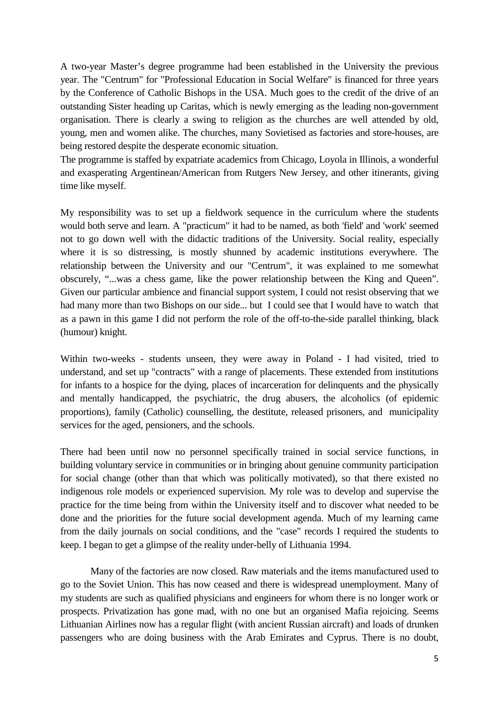A two-year Master's degree programme had been established in the University the previous year. The "Centrum" for "Professional Education in Social Welfare" is financed for three years by the Conference of Catholic Bishops in the USA. Much goes to the credit of the drive of an outstanding Sister heading up Caritas, which is newly emerging as the leading non-government organisation. There is clearly a swing to religion as the churches are well attended by old, young, men and women alike. The churches, many Sovietised as factories and store-houses, are being restored despite the desperate economic situation.

The programme is staffed by expatriate academics from Chicago, Loyola in Illinois, a wonderful and exasperating Argentinean/American from Rutgers New Jersey, and other itinerants, giving time like myself.

My responsibility was to set up a fieldwork sequence in the curriculum where the students would both serve and learn. A "practicum" it had to be named, as both 'field' and 'work' seemed not to go down well with the didactic traditions of the University. Social reality, especially where it is so distressing, is mostly shunned by academic institutions everywhere. The relationship between the University and our "Centrum", it was explained to me somewhat obscurely, "...was a chess game, like the power relationship between the King and Queen". Given our particular ambience and financial support system, I could not resist observing that we had many more than two Bishops on our side... but I could see that I would have to watch that as a pawn in this game I did not perform the role of the off-to-the-side parallel thinking, black (humour) knight.

Within two-weeks - students unseen, they were away in Poland - I had visited, tried to understand, and set up "contracts" with a range of placements. These extended from institutions for infants to a hospice for the dying, places of incarceration for delinquents and the physically and mentally handicapped, the psychiatric, the drug abusers, the alcoholics (of epidemic proportions), family (Catholic) counselling, the destitute, released prisoners, and municipality services for the aged, pensioners, and the schools.

There had been until now no personnel specifically trained in social service functions, in building voluntary service in communities or in bringing about genuine community participation for social change (other than that which was politically motivated), so that there existed no indigenous role models or experienced supervision. My role was to develop and supervise the practice for the time being from within the University itself and to discover what needed to be done and the priorities for the future social development agenda. Much of my learning came from the daily journals on social conditions, and the "case" records I required the students to keep. I began to get a glimpse of the reality under-belly of Lithuania 1994.

Many of the factories are now closed. Raw materials and the items manufactured used to go to the Soviet Union. This has now ceased and there is widespread unemployment. Many of my students are such as qualified physicians and engineers for whom there is no longer work or prospects. Privatization has gone mad, with no one but an organised Mafia rejoicing. Seems Lithuanian Airlines now has a regular flight (with ancient Russian aircraft) and loads of drunken passengers who are doing business with the Arab Emirates and Cyprus. There is no doubt,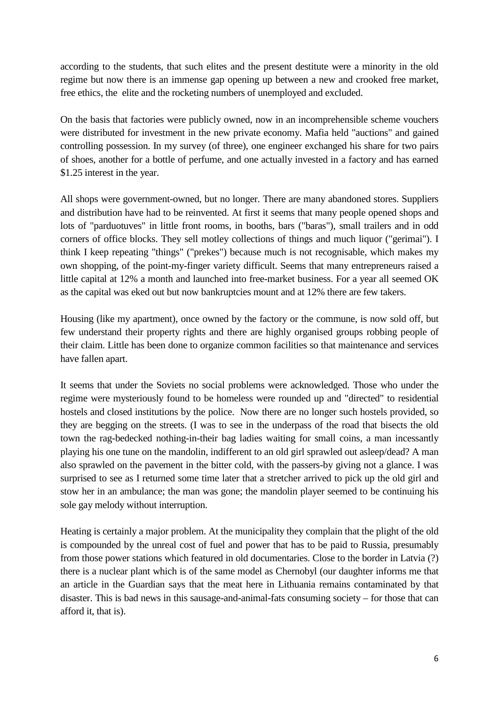according to the students, that such elites and the present destitute were a minority in the old regime but now there is an immense gap opening up between a new and crooked free market, free ethics, the elite and the rocketing numbers of unemployed and excluded.

On the basis that factories were publicly owned, now in an incomprehensible scheme vouchers were distributed for investment in the new private economy. Mafia held "auctions" and gained controlling possession. In my survey (of three), one engineer exchanged his share for two pairs of shoes, another for a bottle of perfume, and one actually invested in a factory and has earned \$1.25 interest in the year.

All shops were government-owned, but no longer. There are many abandoned stores. Suppliers and distribution have had to be reinvented. At first it seems that many people opened shops and lots of "parduotuves" in little front rooms, in booths, bars ("baras"), small trailers and in odd corners of office blocks. They sell motley collections of things and much liquor ("gerimai"). I think I keep repeating "things" ("prekes") because much is not recognisable, which makes my own shopping, of the point-my-finger variety difficult. Seems that many entrepreneurs raised a little capital at 12% a month and launched into free-market business. For a year all seemed OK as the capital was eked out but now bankruptcies mount and at 12% there are few takers.

Housing (like my apartment), once owned by the factory or the commune, is now sold off, but few understand their property rights and there are highly organised groups robbing people of their claim. Little has been done to organize common facilities so that maintenance and services have fallen apart.

It seems that under the Soviets no social problems were acknowledged. Those who under the regime were mysteriously found to be homeless were rounded up and "directed" to residential hostels and closed institutions by the police. Now there are no longer such hostels provided, so they are begging on the streets. (I was to see in the underpass of the road that bisects the old town the rag-bedecked nothing-in-their bag ladies waiting for small coins, a man incessantly playing his one tune on the mandolin, indifferent to an old girl sprawled out asleep/dead? A man also sprawled on the pavement in the bitter cold, with the passers-by giving not a glance. I was surprised to see as I returned some time later that a stretcher arrived to pick up the old girl and stow her in an ambulance; the man was gone; the mandolin player seemed to be continuing his sole gay melody without interruption.

Heating is certainly a major problem. At the municipality they complain that the plight of the old is compounded by the unreal cost of fuel and power that has to be paid to Russia, presumably from those power stations which featured in old documentaries. Close to the border in Latvia (?) there is a nuclear plant which is of the same model as Chernobyl (our daughter informs me that an article in the Guardian says that the meat here in Lithuania remains contaminated by that disaster. This is bad news in this sausage-and-animal-fats consuming society – for those that can afford it, that is).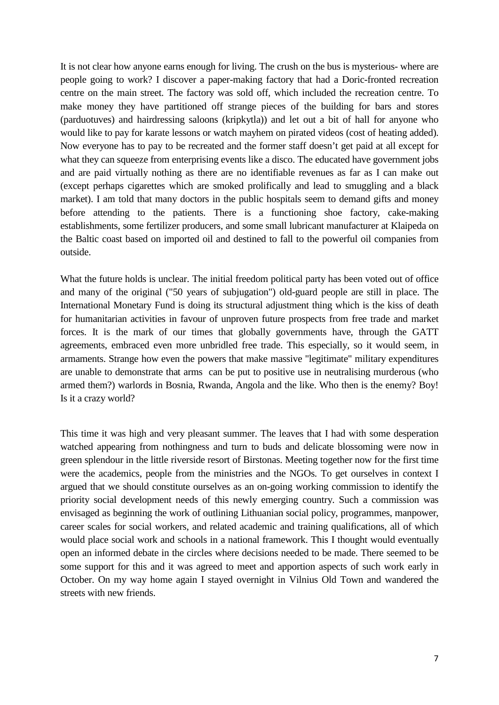It is not clear how anyone earns enough for living. The crush on the bus is mysterious- where are people going to work? I discover a paper-making factory that had a Doric-fronted recreation centre on the main street. The factory was sold off, which included the recreation centre. To make money they have partitioned off strange pieces of the building for bars and stores (parduotuves) and hairdressing saloons (kripkytla)) and let out a bit of hall for anyone who would like to pay for karate lessons or watch mayhem on pirated videos (cost of heating added). Now everyone has to pay to be recreated and the former staff doesn't get paid at all except for what they can squeeze from enterprising events like a disco. The educated have government jobs and are paid virtually nothing as there are no identifiable revenues as far as I can make out (except perhaps cigarettes which are smoked prolifically and lead to smuggling and a black market). I am told that many doctors in the public hospitals seem to demand gifts and money before attending to the patients. There is a functioning shoe factory, cake-making establishments, some fertilizer producers, and some small lubricant manufacturer at Klaipeda on the Baltic coast based on imported oil and destined to fall to the powerful oil companies from outside.

What the future holds is unclear. The initial freedom political party has been voted out of office and many of the original ("50 years of subjugation") old-guard people are still in place. The International Monetary Fund is doing its structural adjustment thing which is the kiss of death for humanitarian activities in favour of unproven future prospects from free trade and market forces. It is the mark of our times that globally governments have, through the GATT agreements, embraced even more unbridled free trade. This especially, so it would seem, in armaments. Strange how even the powers that make massive "legitimate" military expenditures are unable to demonstrate that arms can be put to positive use in neutralising murderous (who armed them?) warlords in Bosnia, Rwanda, Angola and the like. Who then is the enemy? Boy! Is it a crazy world?

This time it was high and very pleasant summer. The leaves that I had with some desperation watched appearing from nothingness and turn to buds and delicate blossoming were now in green splendour in the little riverside resort of Birstonas. Meeting together now for the first time were the academics, people from the ministries and the NGOs. To get ourselves in context I argued that we should constitute ourselves as an on-going working commission to identify the priority social development needs of this newly emerging country. Such a commission was envisaged as beginning the work of outlining Lithuanian social policy, programmes, manpower, career scales for social workers, and related academic and training qualifications, all of which would place social work and schools in a national framework. This I thought would eventually open an informed debate in the circles where decisions needed to be made. There seemed to be some support for this and it was agreed to meet and apportion aspects of such work early in October. On my way home again I stayed overnight in Vilnius Old Town and wandered the streets with new friends.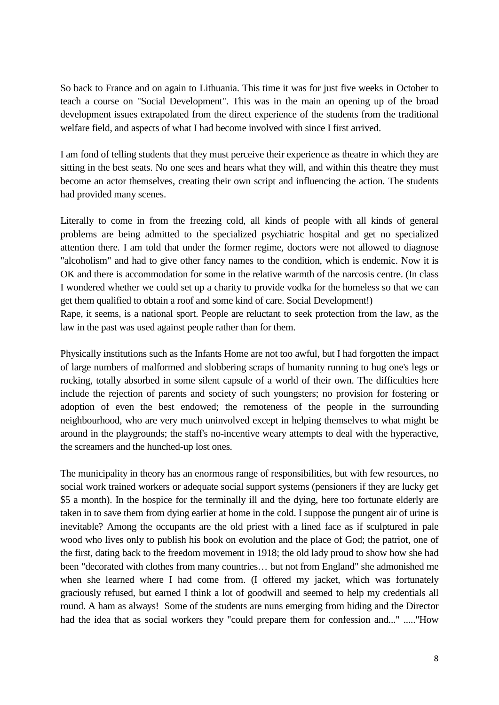So back to France and on again to Lithuania. This time it was for just five weeks in October to teach a course on "Social Development". This was in the main an opening up of the broad development issues extrapolated from the direct experience of the students from the traditional welfare field, and aspects of what I had become involved with since I first arrived.

I am fond of telling students that they must perceive their experience as theatre in which they are sitting in the best seats. No one sees and hears what they will, and within this theatre they must become an actor themselves, creating their own script and influencing the action. The students had provided many scenes.

Literally to come in from the freezing cold, all kinds of people with all kinds of general problems are being admitted to the specialized psychiatric hospital and get no specialized attention there. I am told that under the former regime, doctors were not allowed to diagnose "alcoholism" and had to give other fancy names to the condition, which is endemic. Now it is OK and there is accommodation for some in the relative warmth of the narcosis centre. (In class I wondered whether we could set up a charity to provide vodka for the homeless so that we can get them qualified to obtain a roof and some kind of care. Social Development!)

Rape, it seems, is a national sport. People are reluctant to seek protection from the law, as the law in the past was used against people rather than for them.

Physically institutions such as the Infants Home are not too awful, but I had forgotten the impact of large numbers of malformed and slobbering scraps of humanity running to hug one's legs or rocking, totally absorbed in some silent capsule of a world of their own. The difficulties here include the rejection of parents and society of such youngsters; no provision for fostering or adoption of even the best endowed; the remoteness of the people in the surrounding neighbourhood, who are very much uninvolved except in helping themselves to what might be around in the playgrounds; the staff's no-incentive weary attempts to deal with the hyperactive, the screamers and the hunched-up lost ones.

The municipality in theory has an enormous range of responsibilities, but with few resources, no social work trained workers or adequate social support systems (pensioners if they are lucky get \$5 a month). In the hospice for the terminally ill and the dying, here too fortunate elderly are taken in to save them from dying earlier at home in the cold. I suppose the pungent air of urine is inevitable? Among the occupants are the old priest with a lined face as if sculptured in pale wood who lives only to publish his book on evolution and the place of God; the patriot, one of the first, dating back to the freedom movement in 1918; the old lady proud to show how she had been "decorated with clothes from many countries… but not from England" she admonished me when she learned where I had come from. (I offered my jacket, which was fortunately graciously refused, but earned I think a lot of goodwill and seemed to help my credentials all round. A ham as always! Some of the students are nuns emerging from hiding and the Director had the idea that as social workers they "could prepare them for confession and..." ....."How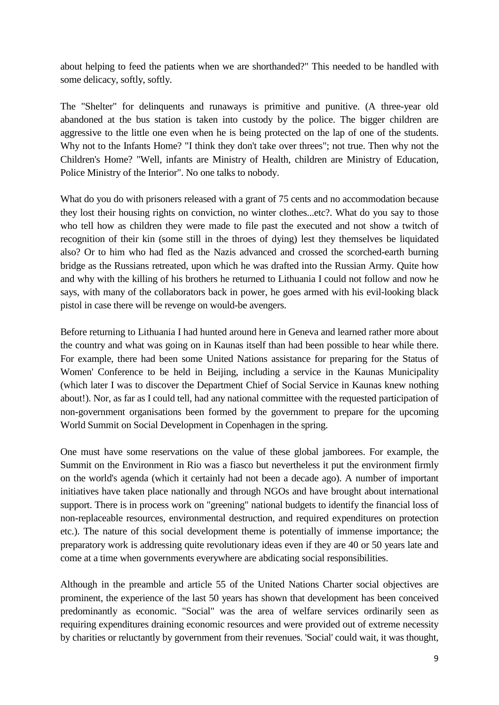about helping to feed the patients when we are shorthanded?" This needed to be handled with some delicacy, softly, softly.

The "Shelter" for delinquents and runaways is primitive and punitive. (A three-year old abandoned at the bus station is taken into custody by the police. The bigger children are aggressive to the little one even when he is being protected on the lap of one of the students. Why not to the Infants Home? "I think they don't take over threes"; not true. Then why not the Children's Home? "Well, infants are Ministry of Health, children are Ministry of Education, Police Ministry of the Interior". No one talks to nobody.

What do you do with prisoners released with a grant of 75 cents and no accommodation because they lost their housing rights on conviction, no winter clothes...etc?. What do you say to those who tell how as children they were made to file past the executed and not show a twitch of recognition of their kin (some still in the throes of dying) lest they themselves be liquidated also? Or to him who had fled as the Nazis advanced and crossed the scorched-earth burning bridge as the Russians retreated, upon which he was drafted into the Russian Army. Quite how and why with the killing of his brothers he returned to Lithuania I could not follow and now he says, with many of the collaborators back in power, he goes armed with his evil-looking black pistol in case there will be revenge on would-be avengers.

Before returning to Lithuania I had hunted around here in Geneva and learned rather more about the country and what was going on in Kaunas itself than had been possible to hear while there. For example, there had been some United Nations assistance for preparing for the Status of Women' Conference to be held in Beijing, including a service in the Kaunas Municipality (which later I was to discover the Department Chief of Social Service in Kaunas knew nothing about!). Nor, as far as I could tell, had any national committee with the requested participation of non-government organisations been formed by the government to prepare for the upcoming World Summit on Social Development in Copenhagen in the spring.

One must have some reservations on the value of these global jamborees. For example, the Summit on the Environment in Rio was a fiasco but nevertheless it put the environment firmly on the world's agenda (which it certainly had not been a decade ago). A number of important initiatives have taken place nationally and through NGOs and have brought about international support. There is in process work on "greening" national budgets to identify the financial loss of non-replaceable resources, environmental destruction, and required expenditures on protection etc.). The nature of this social development theme is potentially of immense importance; the preparatory work is addressing quite revolutionary ideas even if they are 40 or 50 years late and come at a time when governments everywhere are abdicating social responsibilities.

Although in the preamble and article 55 of the United Nations Charter social objectives are prominent, the experience of the last 50 years has shown that development has been conceived predominantly as economic. "Social" was the area of welfare services ordinarily seen as requiring expenditures draining economic resources and were provided out of extreme necessity by charities or reluctantly by government from their revenues. 'Social' could wait, it was thought,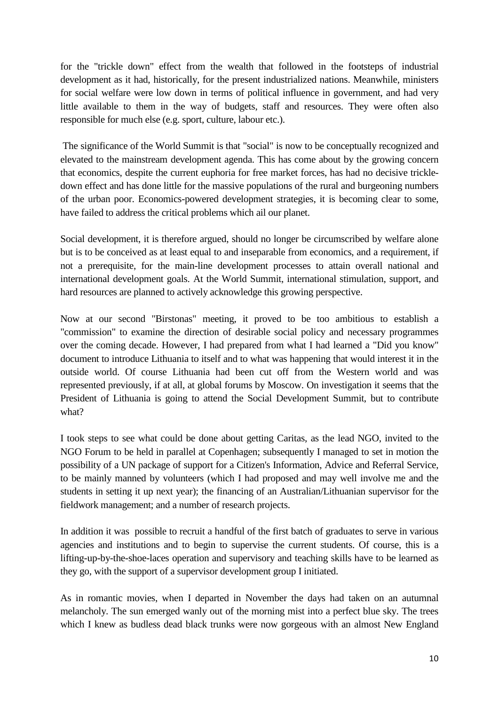for the "trickle down" effect from the wealth that followed in the footsteps of industrial development as it had, historically, for the present industrialized nations. Meanwhile, ministers for social welfare were low down in terms of political influence in government, and had very little available to them in the way of budgets, staff and resources. They were often also responsible for much else (e.g. sport, culture, labour etc.).

The significance of the World Summit is that "social" is now to be conceptually recognized and elevated to the mainstream development agenda. This has come about by the growing concern that economics, despite the current euphoria for free market forces, has had no decisive trickledown effect and has done little for the massive populations of the rural and burgeoning numbers of the urban poor. Economics-powered development strategies, it is becoming clear to some, have failed to address the critical problems which ail our planet.

Social development, it is therefore argued, should no longer be circumscribed by welfare alone but is to be conceived as at least equal to and inseparable from economics, and a requirement, if not a prerequisite, for the main-line development processes to attain overall national and international development goals. At the World Summit, international stimulation, support, and hard resources are planned to actively acknowledge this growing perspective.

Now at our second "Birstonas" meeting, it proved to be too ambitious to establish a "commission" to examine the direction of desirable social policy and necessary programmes over the coming decade. However, I had prepared from what I had learned a "Did you know" document to introduce Lithuania to itself and to what was happening that would interest it in the outside world. Of course Lithuania had been cut off from the Western world and was represented previously, if at all, at global forums by Moscow. On investigation it seems that the President of Lithuania is going to attend the Social Development Summit, but to contribute what?

I took steps to see what could be done about getting Caritas, as the lead NGO, invited to the NGO Forum to be held in parallel at Copenhagen; subsequently I managed to set in motion the possibility of a UN package of support for a Citizen's Information, Advice and Referral Service, to be mainly manned by volunteers (which I had proposed and may well involve me and the students in setting it up next year); the financing of an Australian/Lithuanian supervisor for the fieldwork management; and a number of research projects.

In addition it was possible to recruit a handful of the first batch of graduates to serve in various agencies and institutions and to begin to supervise the current students. Of course, this is a lifting-up-by-the-shoe-laces operation and supervisory and teaching skills have to be learned as they go, with the support of a supervisor development group I initiated.

As in romantic movies, when I departed in November the days had taken on an autumnal melancholy. The sun emerged wanly out of the morning mist into a perfect blue sky. The trees which I knew as budless dead black trunks were now gorgeous with an almost New England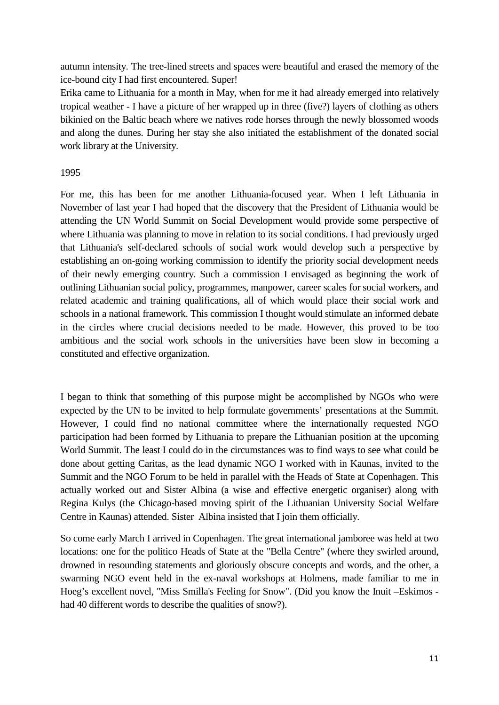autumn intensity. The tree-lined streets and spaces were beautiful and erased the memory of the ice-bound city I had first encountered. Super!

Erika came to Lithuania for a month in May, when for me it had already emerged into relatively tropical weather - I have a picture of her wrapped up in three (five?) layers of clothing as others bikinied on the Baltic beach where we natives rode horses through the newly blossomed woods and along the dunes. During her stay she also initiated the establishment of the donated social work library at the University.

### 1995

For me, this has been for me another Lithuania-focused year. When I left Lithuania in November of last year I had hoped that the discovery that the President of Lithuania would be attending the UN World Summit on Social Development would provide some perspective of where Lithuania was planning to move in relation to its social conditions. I had previously urged that Lithuania's self-declared schools of social work would develop such a perspective by establishing an on-going working commission to identify the priority social development needs of their newly emerging country. Such a commission I envisaged as beginning the work of outlining Lithuanian social policy, programmes, manpower, career scales for social workers, and related academic and training qualifications, all of which would place their social work and schools in a national framework. This commission I thought would stimulate an informed debate in the circles where crucial decisions needed to be made. However, this proved to be too ambitious and the social work schools in the universities have been slow in becoming a constituted and effective organization.

I began to think that something of this purpose might be accomplished by NGOs who were expected by the UN to be invited to help formulate governments' presentations at the Summit. However, I could find no national committee where the internationally requested NGO participation had been formed by Lithuania to prepare the Lithuanian position at the upcoming World Summit. The least I could do in the circumstances was to find ways to see what could be done about getting Caritas, as the lead dynamic NGO I worked with in Kaunas, invited to the Summit and the NGO Forum to be held in parallel with the Heads of State at Copenhagen. This actually worked out and Sister Albina (a wise and effective energetic organiser) along with Regina Kulys (the Chicago-based moving spirit of the Lithuanian University Social Welfare Centre in Kaunas) attended. Sister Albina insisted that I join them officially.

So come early March I arrived in Copenhagen. The great international jamboree was held at two locations: one for the politico Heads of State at the "Bella Centre" (where they swirled around, drowned in resounding statements and gloriously obscure concepts and words, and the other, a swarming NGO event held in the ex-naval workshops at Holmens, made familiar to me in Hoeg's excellent novel, "Miss Smilla's Feeling for Snow". (Did you know the Inuit –Eskimos had 40 different words to describe the qualities of snow?).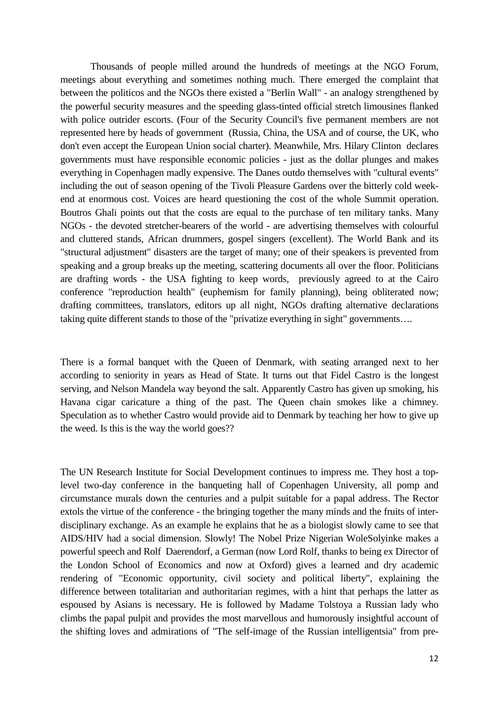Thousands of people milled around the hundreds of meetings at the NGO Forum, meetings about everything and sometimes nothing much. There emerged the complaint that between the politicos and the NGOs there existed a "Berlin Wall" - an analogy strengthened by the powerful security measures and the speeding glass-tinted official stretch limousines flanked with police outrider escorts. (Four of the Security Council's five permanent members are not represented here by heads of government (Russia, China, the USA and of course, the UK, who don't even accept the European Union social charter). Meanwhile, Mrs. Hilary Clinton declares governments must have responsible economic policies - just as the dollar plunges and makes everything in Copenhagen madly expensive. The Danes outdo themselves with "cultural events" including the out of season opening of the Tivoli Pleasure Gardens over the bitterly cold weekend at enormous cost. Voices are heard questioning the cost of the whole Summit operation. Boutros Ghali points out that the costs are equal to the purchase of ten military tanks. Many NGOs - the devoted stretcher-bearers of the world - are advertising themselves with colourful and cluttered stands, African drummers, gospel singers (excellent). The World Bank and its "structural adjustment" disasters are the target of many; one of their speakers is prevented from speaking and a group breaks up the meeting, scattering documents all over the floor. Politicians are drafting words - the USA fighting to keep words, previously agreed to at the Cairo conference "reproduction health" (euphemism for family planning), being obliterated now; drafting committees, translators, editors up all night, NGOs drafting alternative declarations taking quite different stands to those of the "privatize everything in sight" governments….

There is a formal banquet with the Queen of Denmark, with seating arranged next to her according to seniority in years as Head of State. It turns out that Fidel Castro is the longest serving, and Nelson Mandela way beyond the salt. Apparently Castro has given up smoking, his Havana cigar caricature a thing of the past. The Queen chain smokes like a chimney. Speculation as to whether Castro would provide aid to Denmark by teaching her how to give up the weed. Is this is the way the world goes??

The UN Research Institute for Social Development continues to impress me. They host a toplevel two-day conference in the banqueting hall of Copenhagen University, all pomp and circumstance murals down the centuries and a pulpit suitable for a papal address. The Rector extols the virtue of the conference - the bringing together the many minds and the fruits of interdisciplinary exchange. As an example he explains that he as a biologist slowly came to see that AIDS/HIV had a social dimension. Slowly! The Nobel Prize Nigerian WoleSolyinke makes a powerful speech and Rolf Daerendorf, a German (now Lord Rolf, thanks to being ex Director of the London School of Economics and now at Oxford) gives a learned and dry academic rendering of "Economic opportunity, civil society and political liberty", explaining the difference between totalitarian and authoritarian regimes, with a hint that perhaps the latter as espoused by Asians is necessary. He is followed by Madame Tolstoya a Russian lady who climbs the papal pulpit and provides the most marvellous and humorously insightful account of the shifting loves and admirations of "The self-image of the Russian intelligentsia" from pre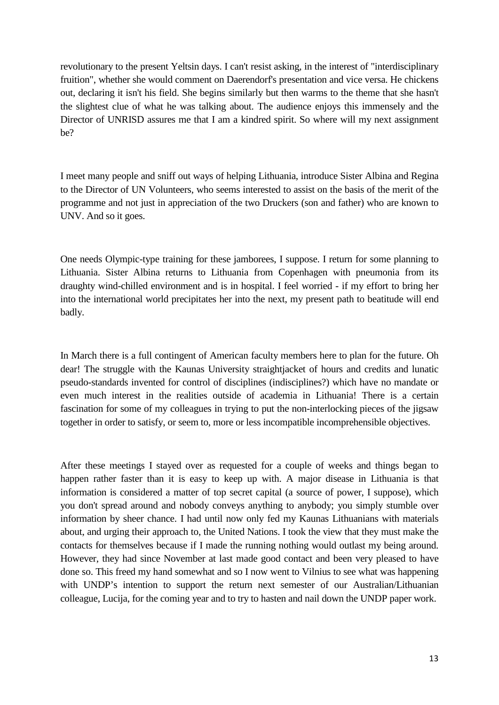revolutionary to the present Yeltsin days. I can't resist asking, in the interest of "interdisciplinary fruition", whether she would comment on Daerendorf's presentation and vice versa. He chickens out, declaring it isn't his field. She begins similarly but then warms to the theme that she hasn't the slightest clue of what he was talking about. The audience enjoys this immensely and the Director of UNRISD assures me that I am a kindred spirit. So where will my next assignment be?

I meet many people and sniff out ways of helping Lithuania, introduce Sister Albina and Regina to the Director of UN Volunteers, who seems interested to assist on the basis of the merit of the programme and not just in appreciation of the two Druckers (son and father) who are known to UNV. And so it goes.

One needs Olympic-type training for these jamborees, I suppose. I return for some planning to Lithuania. Sister Albina returns to Lithuania from Copenhagen with pneumonia from its draughty wind-chilled environment and is in hospital. I feel worried - if my effort to bring her into the international world precipitates her into the next, my present path to beatitude will end badly.

In March there is a full contingent of American faculty members here to plan for the future. Oh dear! The struggle with the Kaunas University straightjacket of hours and credits and lunatic pseudo-standards invented for control of disciplines (indisciplines?) which have no mandate or even much interest in the realities outside of academia in Lithuania! There is a certain fascination for some of my colleagues in trying to put the non-interlocking pieces of the jigsaw together in order to satisfy, or seem to, more or less incompatible incomprehensible objectives.

After these meetings I stayed over as requested for a couple of weeks and things began to happen rather faster than it is easy to keep up with. A major disease in Lithuania is that information is considered a matter of top secret capital (a source of power, I suppose), which you don't spread around and nobody conveys anything to anybody; you simply stumble over information by sheer chance. I had until now only fed my Kaunas Lithuanians with materials about, and urging their approach to, the United Nations. I took the view that they must make the contacts for themselves because if I made the running nothing would outlast my being around. However, they had since November at last made good contact and been very pleased to have done so. This freed my hand somewhat and so I now went to Vilnius to see what was happening with UNDP's intention to support the return next semester of our Australian/Lithuanian colleague, Lucija, for the coming year and to try to hasten and nail down the UNDP paper work.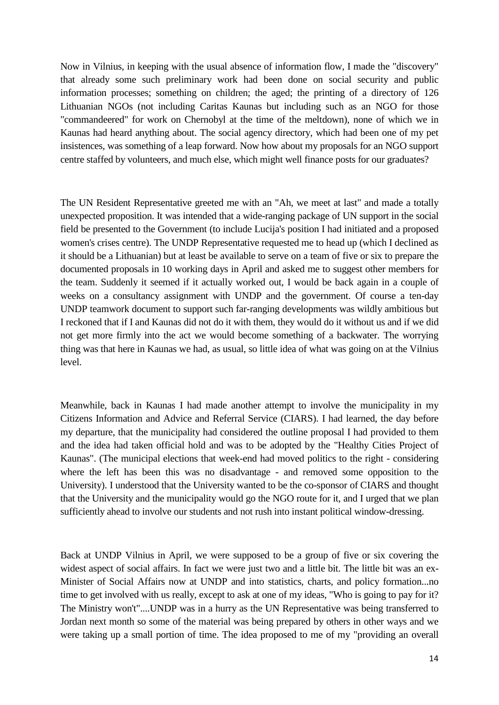Now in Vilnius, in keeping with the usual absence of information flow, I made the "discovery" that already some such preliminary work had been done on social security and public information processes; something on children; the aged; the printing of a directory of 126 Lithuanian NGOs (not including Caritas Kaunas but including such as an NGO for those "commandeered" for work on Chernobyl at the time of the meltdown), none of which we in Kaunas had heard anything about. The social agency directory, which had been one of my pet insistences, was something of a leap forward. Now how about my proposals for an NGO support centre staffed by volunteers, and much else, which might well finance posts for our graduates?

The UN Resident Representative greeted me with an "Ah, we meet at last" and made a totally unexpected proposition. It was intended that a wide-ranging package of UN support in the social field be presented to the Government (to include Lucija's position I had initiated and a proposed women's crises centre). The UNDP Representative requested me to head up (which I declined as it should be a Lithuanian) but at least be available to serve on a team of five or six to prepare the documented proposals in 10 working days in April and asked me to suggest other members for the team. Suddenly it seemed if it actually worked out, I would be back again in a couple of weeks on a consultancy assignment with UNDP and the government. Of course a ten-day UNDP teamwork document to support such far-ranging developments was wildly ambitious but I reckoned that if I and Kaunas did not do it with them, they would do it without us and if we did not get more firmly into the act we would become something of a backwater. The worrying thing was that here in Kaunas we had, as usual, so little idea of what was going on at the Vilnius level.

Meanwhile, back in Kaunas I had made another attempt to involve the municipality in my Citizens Information and Advice and Referral Service (CIARS). I had learned, the day before my departure, that the municipality had considered the outline proposal I had provided to them and the idea had taken official hold and was to be adopted by the "Healthy Cities Project of Kaunas". (The municipal elections that week-end had moved politics to the right - considering where the left has been this was no disadvantage - and removed some opposition to the University). I understood that the University wanted to be the co-sponsor of CIARS and thought that the University and the municipality would go the NGO route for it, and I urged that we plan sufficiently ahead to involve our students and not rush into instant political window-dressing.

Back at UNDP Vilnius in April, we were supposed to be a group of five or six covering the widest aspect of social affairs. In fact we were just two and a little bit. The little bit was an ex-Minister of Social Affairs now at UNDP and into statistics, charts, and policy formation...no time to get involved with us really, except to ask at one of my ideas, "Who is going to pay for it? The Ministry won't"....UNDP was in a hurry as the UN Representative was being transferred to Jordan next month so some of the material was being prepared by others in other ways and we were taking up a small portion of time. The idea proposed to me of my "providing an overall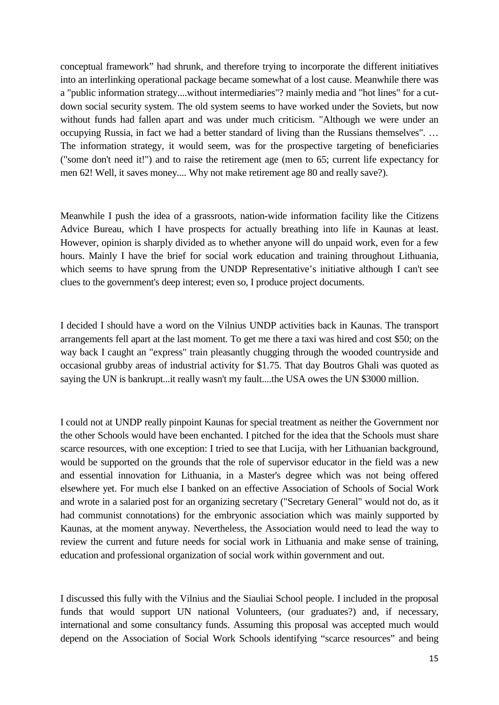conceptual framework" had shrunk, and therefore trying to incorporate the different initiatives into an interlinking operational package became somewhat of a lost cause. Meanwhile there was a "public information strategy....without intermediaries"? mainly media and "hot lines" for a cutdown social security system. The old system seems to have worked under the Soviets, but now without funds had fallen apart and was under much criticism. "Although we were under an occupying Russia, in fact we had a better standard of living than the Russians themselves". … The information strategy, it would seem, was for the prospective targeting of beneficiaries ("some don't need it!") and to raise the retirement age (men to 65; current life expectancy for men 62! Well, it saves money.... Why not make retirement age 80 and really save?).

Meanwhile I push the idea of a grassroots, nation-wide information facility like the Citizens Advice Bureau, which I have prospects for actually breathing into life in Kaunas at least. However, opinion is sharply divided as to whether anyone will do unpaid work, even for a few hours. Mainly I have the brief for social work education and training throughout Lithuania, which seems to have sprung from the UNDP Representative's initiative although I can't see clues to the government's deep interest; even so, I produce project documents.

I decided I should have a word on the Vilnius UNDP activities back in Kaunas. The transport arrangements fell apart at the last moment. To get me there a taxi was hired and cost \$50; on the way back I caught an "express" train pleasantly chugging through the wooded countryside and occasional grubby areas of industrial activity for \$1.75. That day Boutros Ghali was quoted as saying the UN is bankrupt...it really wasn't my fault....the USA owes the UN \$3000 million.

I could not at UNDP really pinpoint Kaunas for special treatment as neither the Government nor the other Schools would have been enchanted. I pitched for the idea that the Schools must share scarce resources, with one exception: I tried to see that Lucija, with her Lithuanian background, would be supported on the grounds that the role of supervisor educator in the field was a new and essential innovation for Lithuania, in a Master's degree which was not being offered elsewhere yet. For much else I banked on an effective Association of Schools of Social Work and wrote in a salaried post for an organizing secretary ("Secretary General" would not do, as it had communist connotations) for the embryonic association which was mainly supported by Kaunas, at the moment anyway. Nevertheless, the Association would need to lead the way to review the current and future needs for social work in Lithuania and make sense of training, education and professional organization of social work within government and out.

I discussed this fully with the Vilnius and the Siauliai School people. I included in the proposal funds that would support UN national Volunteers, (our graduates?) and, if necessary, international and some consultancy funds. Assuming this proposal was accepted much would depend on the Association of Social Work Schools identifying "scarce resources" and being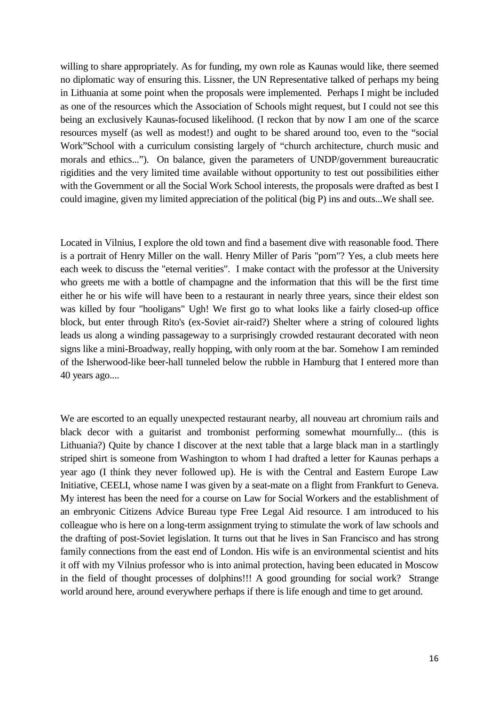willing to share appropriately. As for funding, my own role as Kaunas would like, there seemed no diplomatic way of ensuring this. Lissner, the UN Representative talked of perhaps my being in Lithuania at some point when the proposals were implemented. Perhaps I might be included as one of the resources which the Association of Schools might request, but I could not see this being an exclusively Kaunas-focused likelihood. (I reckon that by now I am one of the scarce resources myself (as well as modest!) and ought to be shared around too, even to the "social Work"School with a curriculum consisting largely of "church architecture, church music and morals and ethics..."). On balance, given the parameters of UNDP/government bureaucratic rigidities and the very limited time available without opportunity to test out possibilities either with the Government or all the Social Work School interests, the proposals were drafted as best I could imagine, given my limited appreciation of the political (big P) ins and outs...We shall see.

Located in Vilnius, I explore the old town and find a basement dive with reasonable food. There is a portrait of Henry Miller on the wall. Henry Miller of Paris "porn"? Yes, a club meets here each week to discuss the "eternal verities". I make contact with the professor at the University who greets me with a bottle of champagne and the information that this will be the first time either he or his wife will have been to a restaurant in nearly three years, since their eldest son was killed by four "hooligans" Ugh! We first go to what looks like a fairly closed-up office block, but enter through Rito's (ex-Soviet air-raid?) Shelter where a string of coloured lights leads us along a winding passageway to a surprisingly crowded restaurant decorated with neon signs like a mini-Broadway, really hopping, with only room at the bar. Somehow I am reminded of the Isherwood-like beer-hall tunneled below the rubble in Hamburg that I entered more than 40 years ago....

We are escorted to an equally unexpected restaurant nearby, all nouveau art chromium rails and black decor with a guitarist and trombonist performing somewhat mournfully... (this is Lithuania?) Quite by chance I discover at the next table that a large black man in a startlingly striped shirt is someone from Washington to whom I had drafted a letter for Kaunas perhaps a year ago (I think they never followed up). He is with the Central and Eastern Europe Law Initiative, CEELI, whose name I was given by a seat-mate on a flight from Frankfurt to Geneva. My interest has been the need for a course on Law for Social Workers and the establishment of an embryonic Citizens Advice Bureau type Free Legal Aid resource. I am introduced to his colleague who is here on a long-term assignment trying to stimulate the work of law schools and the drafting of post-Soviet legislation. It turns out that he lives in San Francisco and has strong family connections from the east end of London. His wife is an environmental scientist and hits it off with my Vilnius professor who is into animal protection, having been educated in Moscow in the field of thought processes of dolphins!!! A good grounding for social work? Strange world around here, around everywhere perhaps if there is life enough and time to get around.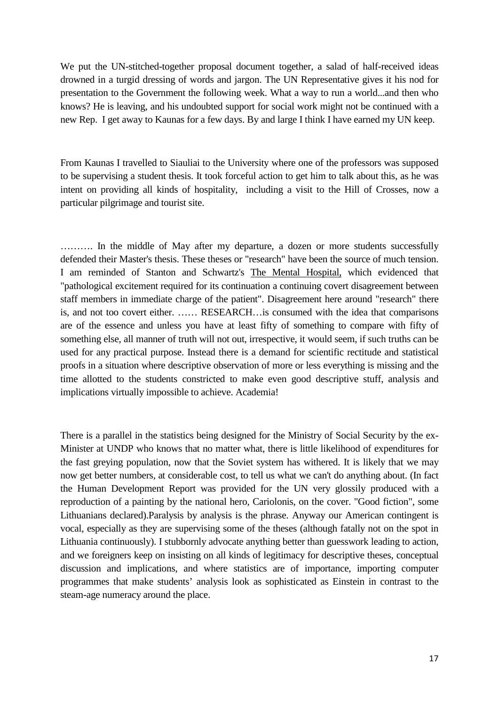We put the UN-stitched-together proposal document together, a salad of half-received ideas drowned in a turgid dressing of words and jargon. The UN Representative gives it his nod for presentation to the Government the following week. What a way to run a world...and then who knows? He is leaving, and his undoubted support for social work might not be continued with a new Rep. I get away to Kaunas for a few days. By and large I think I have earned my UN keep.

From Kaunas I travelled to Siauliai to the University where one of the professors was supposed to be supervising a student thesis. It took forceful action to get him to talk about this, as he was intent on providing all kinds of hospitality, including a visit to the Hill of Crosses, now a particular pilgrimage and tourist site.

………. In the middle of May after my departure, a dozen or more students successfully defended their Master's thesis. These theses or "research" have been the source of much tension. I am reminded of Stanton and Schwartz's The Mental Hospital, which evidenced that "pathological excitement required for its continuation a continuing covert disagreement between staff members in immediate charge of the patient". Disagreement here around "research" there is, and not too covert either. …… RESEARCH…is consumed with the idea that comparisons are of the essence and unless you have at least fifty of something to compare with fifty of something else, all manner of truth will not out, irrespective, it would seem, if such truths can be used for any practical purpose. Instead there is a demand for scientific rectitude and statistical proofs in a situation where descriptive observation of more or less everything is missing and the time allotted to the students constricted to make even good descriptive stuff, analysis and implications virtually impossible to achieve. Academia!

There is a parallel in the statistics being designed for the Ministry of Social Security by the ex-Minister at UNDP who knows that no matter what, there is little likelihood of expenditures for the fast greying population, now that the Soviet system has withered. It is likely that we may now get better numbers, at considerable cost, to tell us what we can't do anything about. (In fact the Human Development Report was provided for the UN very glossily produced with a reproduction of a painting by the national hero, Cariolonis, on the cover. "Good fiction", some Lithuanians declared).Paralysis by analysis is the phrase. Anyway our American contingent is vocal, especially as they are supervising some of the theses (although fatally not on the spot in Lithuania continuously). I stubbornly advocate anything better than guesswork leading to action, and we foreigners keep on insisting on all kinds of legitimacy for descriptive theses, conceptual discussion and implications, and where statistics are of importance, importing computer programmes that make students' analysis look as sophisticated as Einstein in contrast to the steam-age numeracy around the place.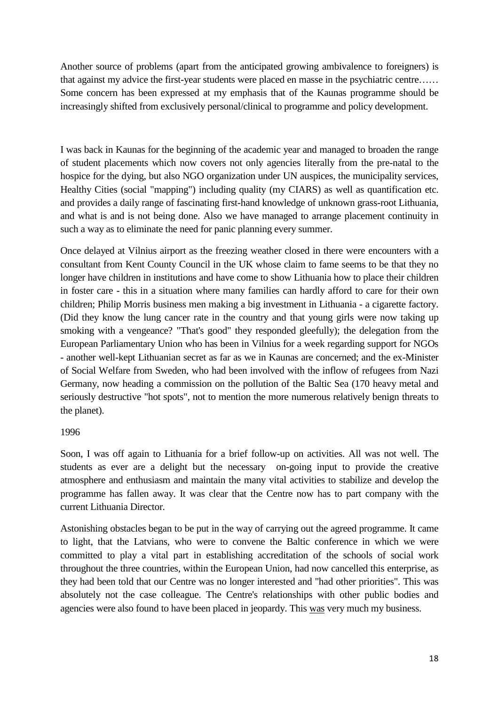Another source of problems (apart from the anticipated growing ambivalence to foreigners) is that against my advice the first-year students were placed en masse in the psychiatric centre…… Some concern has been expressed at my emphasis that of the Kaunas programme should be increasingly shifted from exclusively personal/clinical to programme and policy development.

I was back in Kaunas for the beginning of the academic year and managed to broaden the range of student placements which now covers not only agencies literally from the pre-natal to the hospice for the dying, but also NGO organization under UN auspices, the municipality services, Healthy Cities (social "mapping") including quality (my CIARS) as well as quantification etc. and provides a daily range of fascinating first-hand knowledge of unknown grass-root Lithuania, and what is and is not being done. Also we have managed to arrange placement continuity in such a way as to eliminate the need for panic planning every summer.

Once delayed at Vilnius airport as the freezing weather closed in there were encounters with a consultant from Kent County Council in the UK whose claim to fame seems to be that they no longer have children in institutions and have come to show Lithuania how to place their children in foster care - this in a situation where many families can hardly afford to care for their own children; Philip Morris business men making a big investment in Lithuania - a cigarette factory. (Did they know the lung cancer rate in the country and that young girls were now taking up smoking with a vengeance? "That's good" they responded gleefully); the delegation from the European Parliamentary Union who has been in Vilnius for a week regarding support for NGOs - another well-kept Lithuanian secret as far as we in Kaunas are concerned; and the ex-Minister of Social Welfare from Sweden, who had been involved with the inflow of refugees from Nazi Germany, now heading a commission on the pollution of the Baltic Sea (170 heavy metal and seriously destructive "hot spots", not to mention the more numerous relatively benign threats to the planet).

### 1996

Soon, I was off again to Lithuania for a brief follow-up on activities. All was not well. The students as ever are a delight but the necessary on-going input to provide the creative atmosphere and enthusiasm and maintain the many vital activities to stabilize and develop the programme has fallen away. It was clear that the Centre now has to part company with the current Lithuania Director.

Astonishing obstacles began to be put in the way of carrying out the agreed programme. It came to light, that the Latvians, who were to convene the Baltic conference in which we were committed to play a vital part in establishing accreditation of the schools of social work throughout the three countries, within the European Union, had now cancelled this enterprise, as they had been told that our Centre was no longer interested and "had other priorities". This was absolutely not the case colleague. The Centre's relationships with other public bodies and agencies were also found to have been placed in jeopardy. This was very much my business.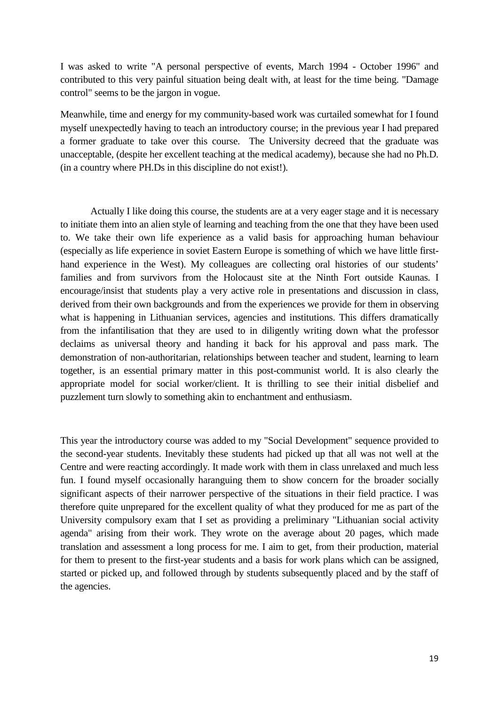I was asked to write "A personal perspective of events, March 1994 - October 1996" and contributed to this very painful situation being dealt with, at least for the time being. "Damage control" seems to be the jargon in vogue.

Meanwhile, time and energy for my community-based work was curtailed somewhat for I found myself unexpectedly having to teach an introductory course; in the previous year I had prepared a former graduate to take over this course. The University decreed that the graduate was unacceptable, (despite her excellent teaching at the medical academy), because she had no Ph.D. (in a country where PH.Ds in this discipline do not exist!).

Actually I like doing this course, the students are at a very eager stage and it is necessary to initiate them into an alien style of learning and teaching from the one that they have been used to. We take their own life experience as a valid basis for approaching human behaviour (especially as life experience in soviet Eastern Europe is something of which we have little firsthand experience in the West). My colleagues are collecting oral histories of our students' families and from survivors from the Holocaust site at the Ninth Fort outside Kaunas. I encourage/insist that students play a very active role in presentations and discussion in class, derived from their own backgrounds and from the experiences we provide for them in observing what is happening in Lithuanian services, agencies and institutions. This differs dramatically from the infantilisation that they are used to in diligently writing down what the professor declaims as universal theory and handing it back for his approval and pass mark. The demonstration of non-authoritarian, relationships between teacher and student, learning to learn together, is an essential primary matter in this post-communist world. It is also clearly the appropriate model for social worker/client. It is thrilling to see their initial disbelief and puzzlement turn slowly to something akin to enchantment and enthusiasm.

This year the introductory course was added to my "Social Development" sequence provided to the second-year students. Inevitably these students had picked up that all was not well at the Centre and were reacting accordingly. It made work with them in class unrelaxed and much less fun. I found myself occasionally haranguing them to show concern for the broader socially significant aspects of their narrower perspective of the situations in their field practice. I was therefore quite unprepared for the excellent quality of what they produced for me as part of the University compulsory exam that I set as providing a preliminary "Lithuanian social activity agenda" arising from their work. They wrote on the average about 20 pages, which made translation and assessment a long process for me. I aim to get, from their production, material for them to present to the first-year students and a basis for work plans which can be assigned, started or picked up, and followed through by students subsequently placed and by the staff of the agencies.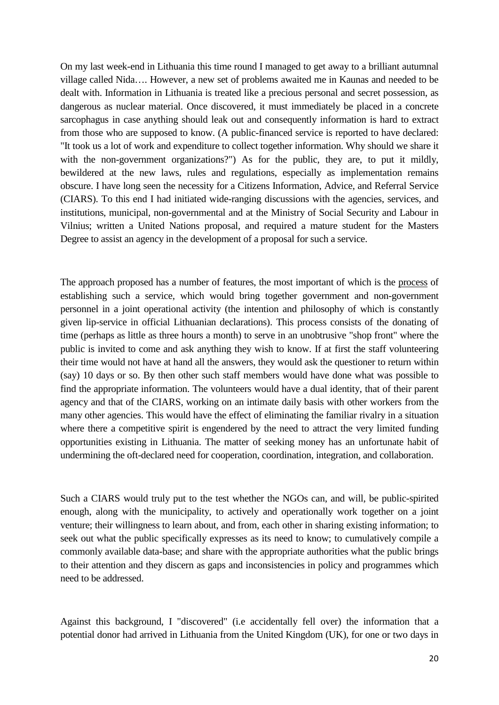On my last week-end in Lithuania this time round I managed to get away to a brilliant autumnal village called Nida…. However, a new set of problems awaited me in Kaunas and needed to be dealt with. Information in Lithuania is treated like a precious personal and secret possession, as dangerous as nuclear material. Once discovered, it must immediately be placed in a concrete sarcophagus in case anything should leak out and consequently information is hard to extract from those who are supposed to know. (A public-financed service is reported to have declared: "It took us a lot of work and expenditure to collect together information. Why should we share it with the non-government organizations?") As for the public, they are, to put it mildly, bewildered at the new laws, rules and regulations, especially as implementation remains obscure. I have long seen the necessity for a Citizens Information, Advice, and Referral Service (CIARS). To this end I had initiated wide-ranging discussions with the agencies, services, and institutions, municipal, non-governmental and at the Ministry of Social Security and Labour in Vilnius; written a United Nations proposal, and required a mature student for the Masters Degree to assist an agency in the development of a proposal for such a service.

The approach proposed has a number of features, the most important of which is the process of establishing such a service, which would bring together government and non-government personnel in a joint operational activity (the intention and philosophy of which is constantly given lip-service in official Lithuanian declarations). This process consists of the donating of time (perhaps as little as three hours a month) to serve in an unobtrusive "shop front" where the public is invited to come and ask anything they wish to know. If at first the staff volunteering their time would not have at hand all the answers, they would ask the questioner to return within (say) 10 days or so. By then other such staff members would have done what was possible to find the appropriate information. The volunteers would have a dual identity, that of their parent agency and that of the CIARS, working on an intimate daily basis with other workers from the many other agencies. This would have the effect of eliminating the familiar rivalry in a situation where there a competitive spirit is engendered by the need to attract the very limited funding opportunities existing in Lithuania. The matter of seeking money has an unfortunate habit of undermining the oft-declared need for cooperation, coordination, integration, and collaboration.

Such a CIARS would truly put to the test whether the NGOs can, and will, be public-spirited enough, along with the municipality, to actively and operationally work together on a joint venture; their willingness to learn about, and from, each other in sharing existing information; to seek out what the public specifically expresses as its need to know; to cumulatively compile a commonly available data-base; and share with the appropriate authorities what the public brings to their attention and they discern as gaps and inconsistencies in policy and programmes which need to be addressed.

Against this background, I "discovered" (i.e accidentally fell over) the information that a potential donor had arrived in Lithuania from the United Kingdom (UK), for one or two days in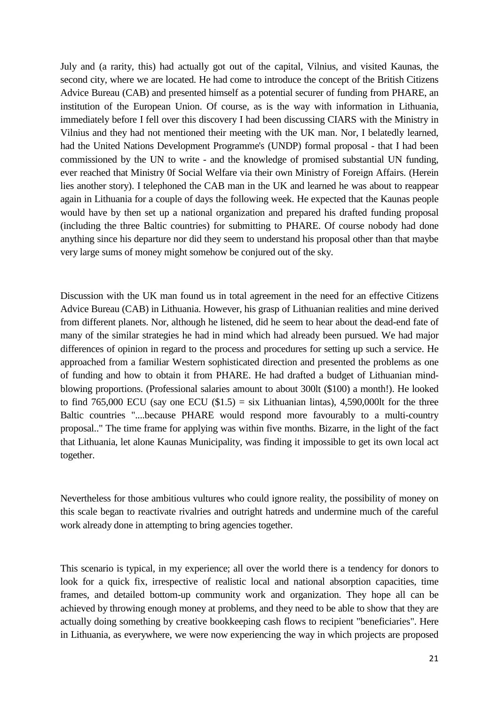July and (a rarity, this) had actually got out of the capital, Vilnius, and visited Kaunas, the second city, where we are located. He had come to introduce the concept of the British Citizens Advice Bureau (CAB) and presented himself as a potential securer of funding from PHARE, an institution of the European Union. Of course, as is the way with information in Lithuania, immediately before I fell over this discovery I had been discussing CIARS with the Ministry in Vilnius and they had not mentioned their meeting with the UK man. Nor, I belatedly learned, had the United Nations Development Programme's (UNDP) formal proposal - that I had been commissioned by the UN to write - and the knowledge of promised substantial UN funding, ever reached that Ministry 0f Social Welfare via their own Ministry of Foreign Affairs. (Herein lies another story). I telephoned the CAB man in the UK and learned he was about to reappear again in Lithuania for a couple of days the following week. He expected that the Kaunas people would have by then set up a national organization and prepared his drafted funding proposal (including the three Baltic countries) for submitting to PHARE. Of course nobody had done anything since his departure nor did they seem to understand his proposal other than that maybe very large sums of money might somehow be conjured out of the sky.

Discussion with the UK man found us in total agreement in the need for an effective Citizens Advice Bureau (CAB) in Lithuania. However, his grasp of Lithuanian realities and mine derived from different planets. Nor, although he listened, did he seem to hear about the dead-end fate of many of the similar strategies he had in mind which had already been pursued. We had major differences of opinion in regard to the process and procedures for setting up such a service. He approached from a familiar Western sophisticated direction and presented the problems as one of funding and how to obtain it from PHARE. He had drafted a budget of Lithuanian mindblowing proportions. (Professional salaries amount to about 300lt (\$100) a month!). He looked to find 765,000 ECU (say one ECU  $(\$1.5) = \text{s}$ ix Lithuanian lintas), 4,590,000lt for the three Baltic countries "....because PHARE would respond more favourably to a multi-country proposal.." The time frame for applying was within five months. Bizarre, in the light of the fact that Lithuania, let alone Kaunas Municipality, was finding it impossible to get its own local act together.

Nevertheless for those ambitious vultures who could ignore reality, the possibility of money on this scale began to reactivate rivalries and outright hatreds and undermine much of the careful work already done in attempting to bring agencies together.

This scenario is typical, in my experience; all over the world there is a tendency for donors to look for a quick fix, irrespective of realistic local and national absorption capacities, time frames, and detailed bottom-up community work and organization. They hope all can be achieved by throwing enough money at problems, and they need to be able to show that they are actually doing something by creative bookkeeping cash flows to recipient "beneficiaries". Here in Lithuania, as everywhere, we were now experiencing the way in which projects are proposed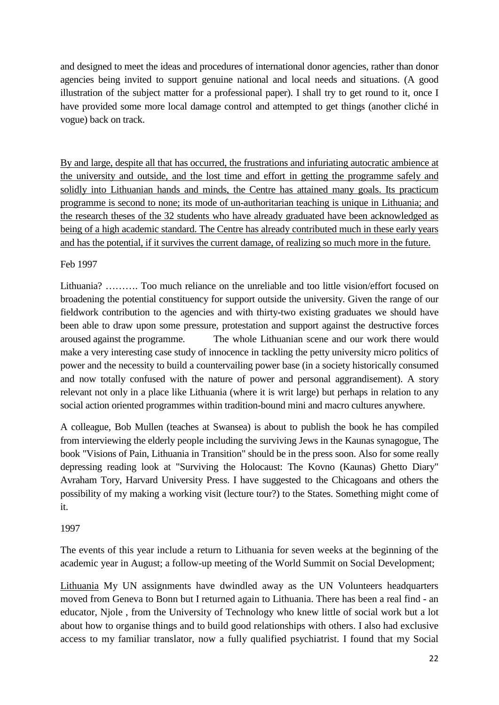and designed to meet the ideas and procedures of international donor agencies, rather than donor agencies being invited to support genuine national and local needs and situations. (A good illustration of the subject matter for a professional paper). I shall try to get round to it, once I have provided some more local damage control and attempted to get things (another cliché in vogue) back on track.

By and large, despite all that has occurred, the frustrations and infuriating autocratic ambience at the university and outside, and the lost time and effort in getting the programme safely and solidly into Lithuanian hands and minds, the Centre has attained many goals. Its practicum programme is second to none; its mode of un-authoritarian teaching is unique in Lithuania; and the research theses of the 32 students who have already graduated have been acknowledged as being of a high academic standard. The Centre has already contributed much in these early years and has the potential, if it survives the current damage, of realizing so much more in the future.

# Feb 1997

Lithuania? ………. Too much reliance on the unreliable and too little vision/effort focused on broadening the potential constituency for support outside the university. Given the range of our fieldwork contribution to the agencies and with thirty-two existing graduates we should have been able to draw upon some pressure, protestation and support against the destructive forces aroused against the programme. The whole Lithuanian scene and our work there would make a very interesting case study of innocence in tackling the petty university micro politics of power and the necessity to build a countervailing power base (in a society historically consumed and now totally confused with the nature of power and personal aggrandisement). A story relevant not only in a place like Lithuania (where it is writ large) but perhaps in relation to any social action oriented programmes within tradition-bound mini and macro cultures anywhere.

A colleague, Bob Mullen (teaches at Swansea) is about to publish the book he has compiled from interviewing the elderly people including the surviving Jews in the Kaunas synagogue, The book "Visions of Pain, Lithuania in Transition" should be in the press soon. Also for some really depressing reading look at "Surviving the Holocaust: The Kovno (Kaunas) Ghetto Diary" Avraham Tory, Harvard University Press. I have suggested to the Chicagoans and others the possibility of my making a working visit (lecture tour?) to the States. Something might come of it.

# 1997

The events of this year include a return to Lithuania for seven weeks at the beginning of the academic year in August; a follow-up meeting of the World Summit on Social Development;

Lithuania My UN assignments have dwindled away as the UN Volunteers headquarters moved from Geneva to Bonn but I returned again to Lithuania. There has been a real find - an educator, Njole , from the University of Technology who knew little of social work but a lot about how to organise things and to build good relationships with others. I also had exclusive access to my familiar translator, now a fully qualified psychiatrist. I found that my Social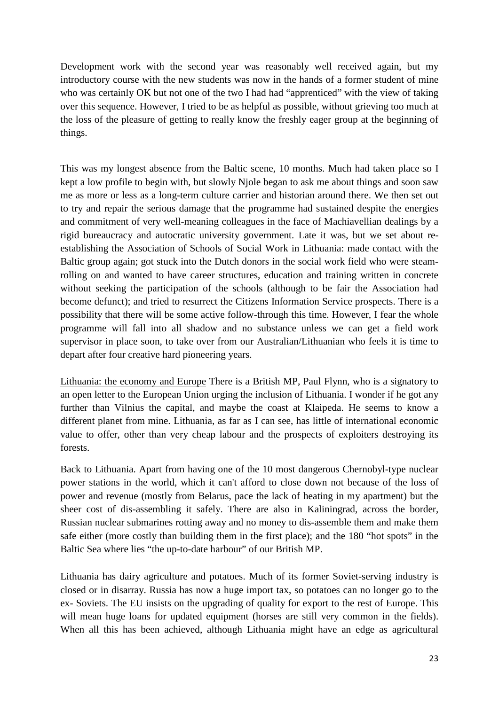Development work with the second year was reasonably well received again, but my introductory course with the new students was now in the hands of a former student of mine who was certainly OK but not one of the two I had had "apprenticed" with the view of taking over this sequence. However, I tried to be as helpful as possible, without grieving too much at the loss of the pleasure of getting to really know the freshly eager group at the beginning of things.

This was my longest absence from the Baltic scene, 10 months. Much had taken place so I kept a low profile to begin with, but slowly Njole began to ask me about things and soon saw me as more or less as a long-term culture carrier and historian around there. We then set out to try and repair the serious damage that the programme had sustained despite the energies and commitment of very well-meaning colleagues in the face of Machiavellian dealings by a rigid bureaucracy and autocratic university government. Late it was, but we set about reestablishing the Association of Schools of Social Work in Lithuania: made contact with the Baltic group again; got stuck into the Dutch donors in the social work field who were steamrolling on and wanted to have career structures, education and training written in concrete without seeking the participation of the schools (although to be fair the Association had become defunct); and tried to resurrect the Citizens Information Service prospects. There is a possibility that there will be some active follow-through this time. However, I fear the whole programme will fall into all shadow and no substance unless we can get a field work supervisor in place soon, to take over from our Australian/Lithuanian who feels it is time to depart after four creative hard pioneering years.

Lithuania: the economy and Europe There is a British MP, Paul Flynn, who is a signatory to an open letter to the European Union urging the inclusion of Lithuania. I wonder if he got any further than Vilnius the capital, and maybe the coast at Klaipeda. He seems to know a different planet from mine. Lithuania, as far as I can see, has little of international economic value to offer, other than very cheap labour and the prospects of exploiters destroying its forests.

Back to Lithuania. Apart from having one of the 10 most dangerous Chernobyl-type nuclear power stations in the world, which it can't afford to close down not because of the loss of power and revenue (mostly from Belarus, pace the lack of heating in my apartment) but the sheer cost of dis-assembling it safely. There are also in Kaliningrad, across the border, Russian nuclear submarines rotting away and no money to dis-assemble them and make them safe either (more costly than building them in the first place); and the 180 "hot spots" in the Baltic Sea where lies "the up-to-date harbour" of our British MP.

Lithuania has dairy agriculture and potatoes. Much of its former Soviet-serving industry is closed or in disarray. Russia has now a huge import tax, so potatoes can no longer go to the ex- Soviets. The EU insists on the upgrading of quality for export to the rest of Europe. This will mean huge loans for updated equipment (horses are still very common in the fields). When all this has been achieved, although Lithuania might have an edge as agricultural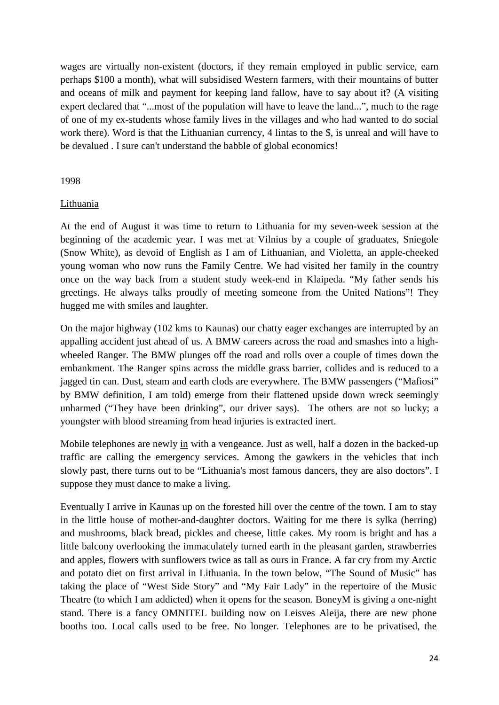wages are virtually non-existent (doctors, if they remain employed in public service, earn perhaps \$100 a month), what will subsidised Western farmers, with their mountains of butter and oceans of milk and payment for keeping land fallow, have to say about it? (A visiting expert declared that "...most of the population will have to leave the land...", much to the rage of one of my ex-students whose family lives in the villages and who had wanted to do social work there). Word is that the Lithuanian currency, 4 lintas to the \$, is unreal and will have to be devalued . I sure can't understand the babble of global economics!

### 1998

### Lithuania

At the end of August it was time to return to Lithuania for my seven-week session at the beginning of the academic year. I was met at Vilnius by a couple of graduates, Sniegole (Snow White), as devoid of English as I am of Lithuanian, and Violetta, an apple-cheeked young woman who now runs the Family Centre. We had visited her family in the country once on the way back from a student study week-end in Klaipeda. "My father sends his greetings. He always talks proudly of meeting someone from the United Nations"! They hugged me with smiles and laughter.

On the major highway (102 kms to Kaunas) our chatty eager exchanges are interrupted by an appalling accident just ahead of us. A BMW careers across the road and smashes into a highwheeled Ranger. The BMW plunges off the road and rolls over a couple of times down the embankment. The Ranger spins across the middle grass barrier, collides and is reduced to a jagged tin can. Dust, steam and earth clods are everywhere. The BMW passengers ("Mafiosi" by BMW definition, I am told) emerge from their flattened upside down wreck seemingly unharmed ("They have been drinking", our driver says). The others are not so lucky; a youngster with blood streaming from head injuries is extracted inert.

Mobile telephones are newly in with a vengeance. Just as well, half a dozen in the backed-up traffic are calling the emergency services. Among the gawkers in the vehicles that inch slowly past, there turns out to be "Lithuania's most famous dancers, they are also doctors". I suppose they must dance to make a living.

Eventually I arrive in Kaunas up on the forested hill over the centre of the town. I am to stay in the little house of mother-and-daughter doctors. Waiting for me there is sylka (herring) and mushrooms, black bread, pickles and cheese, little cakes. My room is bright and has a little balcony overlooking the immaculately turned earth in the pleasant garden, strawberries and apples, flowers with sunflowers twice as tall as ours in France. A far cry from my Arctic and potato diet on first arrival in Lithuania. In the town below, "The Sound of Music" has taking the place of "West Side Story" and "My Fair Lady" in the repertoire of the Music Theatre (to which I am addicted) when it opens for the season. BoneyM is giving a one-night stand. There is a fancy OMNITEL building now on Leisves Aleija, there are new phone booths too. Local calls used to be free. No longer. Telephones are to be privatised, the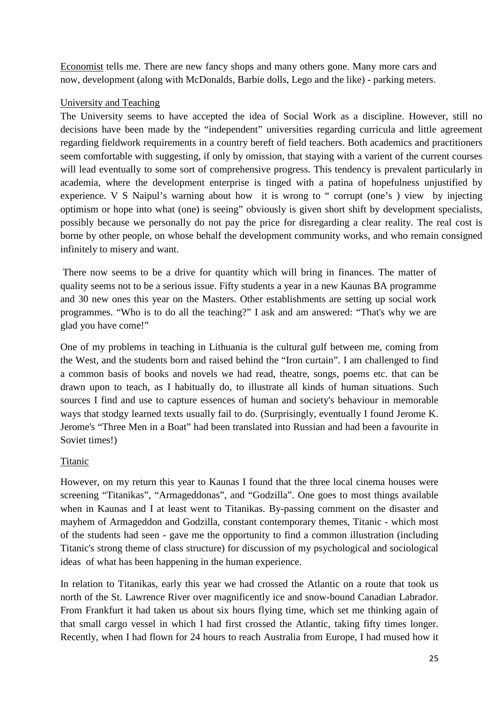Economist tells me. There are new fancy shops and many others gone. Many more cars and now, development (along with McDonalds, Barbie dolls, Lego and the like) - parking meters.

# University and Teaching

The University seems to have accepted the idea of Social Work as a discipline. However, still no decisions have been made by the "independent" universities regarding curricula and little agreement regarding fieldwork requirements in a country bereft of field teachers. Both academics and practitioners seem comfortable with suggesting, if only by omission, that staying with a varient of the current courses will lead eventually to some sort of comprehensive progress. This tendency is prevalent particularly in academia, where the development enterprise is tinged with a patina of hopefulness unjustified by experience. V S Naipul's warning about how it is wrong to " corrupt (one's ) view by injecting optimism or hope into what (one) is seeing" obviously is given short shift by development specialists, possibly because we personally do not pay the price for disregarding a clear reality. The real cost is borne by other people, on whose behalf the development community works, and who remain consigned infinitely to misery and want.

There now seems to be a drive for quantity which will bring in finances. The matter of quality seems not to be a serious issue. Fifty students a year in a new Kaunas BA programme and 30 new ones this year on the Masters. Other establishments are setting up social work programmes. "Who is to do all the teaching?" I ask and am answered: "That's why we are glad you have come!"

One of my problems in teaching in Lithuania is the cultural gulf between me, coming from the West, and the students born and raised behind the "Iron curtain". I am challenged to find a common basis of books and novels we had read, theatre, songs, poems etc. that can be drawn upon to teach, as I habitually do, to illustrate all kinds of human situations. Such sources I find and use to capture essences of human and society's behaviour in memorable ways that stodgy learned texts usually fail to do. (Surprisingly, eventually I found Jerome K. Jerome's "Three Men in a Boat" had been translated into Russian and had been a favourite in Soviet times!)

# Titanic

However, on my return this year to Kaunas I found that the three local cinema houses were screening "Titanikas", "Armageddonas", and "Godzilla". One goes to most things available when in Kaunas and I at least went to Titanikas. By-passing comment on the disaster and mayhem of Armageddon and Godzilla, constant contemporary themes, Titanic - which most of the students had seen - gave me the opportunity to find a common illustration (including Titanic's strong theme of class structure) for discussion of my psychological and sociological ideas of what has been happening in the human experience.

In relation to Titanikas, early this year we had crossed the Atlantic on a route that took us north of the St. Lawrence River over magnificently ice and snow-bound Canadian Labrador. From Frankfurt it had taken us about six hours flying time, which set me thinking again of that small cargo vessel in which I had first crossed the Atlantic, taking fifty times longer. Recently, when I had flown for 24 hours to reach Australia from Europe, I had mused how it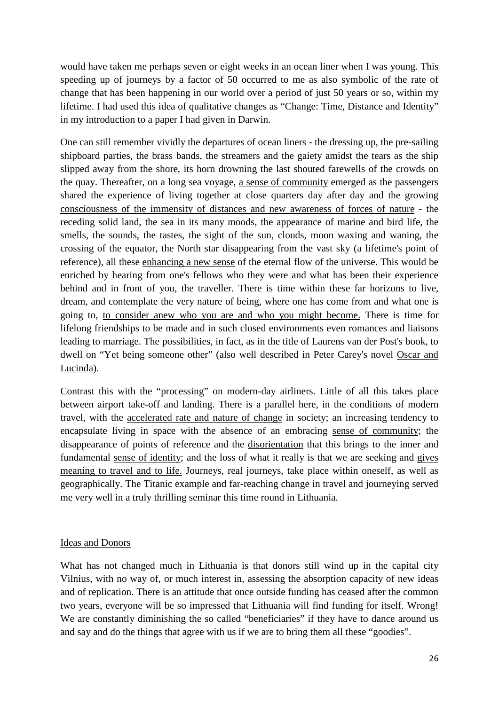would have taken me perhaps seven or eight weeks in an ocean liner when I was young. This speeding up of journeys by a factor of 50 occurred to me as also symbolic of the rate of change that has been happening in our world over a period of just 50 years or so, within my lifetime. I had used this idea of qualitative changes as "Change: Time, Distance and Identity" in my introduction to a paper I had given in Darwin.

One can still remember vividly the departures of ocean liners - the dressing up, the pre-sailing shipboard parties, the brass bands, the streamers and the gaiety amidst the tears as the ship slipped away from the shore, its horn drowning the last shouted farewells of the crowds on the quay. Thereafter, on a long sea voyage, a sense of community emerged as the passengers shared the experience of living together at close quarters day after day and the growing consciousness of the immensity of distances and new awareness of forces of nature - the receding solid land, the sea in its many moods, the appearance of marine and bird life, the smells, the sounds, the tastes, the sight of the sun, clouds, moon waxing and waning, the crossing of the equator, the North star disappearing from the vast sky (a lifetime's point of reference), all these enhancing a new sense of the eternal flow of the universe. This would be enriched by hearing from one's fellows who they were and what has been their experience behind and in front of you, the traveller. There is time within these far horizons to live, dream, and contemplate the very nature of being, where one has come from and what one is going to, to consider anew who you are and who you might become. There is time for lifelong friendships to be made and in such closed environments even romances and liaisons leading to marriage. The possibilities, in fact, as in the title of Laurens van der Post's book, to dwell on "Yet being someone other" (also well described in Peter Carey's novel Oscar and Lucinda).

Contrast this with the "processing" on modern-day airliners. Little of all this takes place between airport take-off and landing. There is a parallel here, in the conditions of modern travel, with the accelerated rate and nature of change in society; an increasing tendency to encapsulate living in space with the absence of an embracing sense of community; the disappearance of points of reference and the disorientation that this brings to the inner and fundamental sense of identity; and the loss of what it really is that we are seeking and gives meaning to travel and to life. Journeys, real journeys, take place within oneself, as well as geographically. The Titanic example and far-reaching change in travel and journeying served me very well in a truly thrilling seminar this time round in Lithuania.

### Ideas and Donors

What has not changed much in Lithuania is that donors still wind up in the capital city Vilnius, with no way of, or much interest in, assessing the absorption capacity of new ideas and of replication. There is an attitude that once outside funding has ceased after the common two years, everyone will be so impressed that Lithuania will find funding for itself. Wrong! We are constantly diminishing the so called "beneficiaries" if they have to dance around us and say and do the things that agree with us if we are to bring them all these "goodies".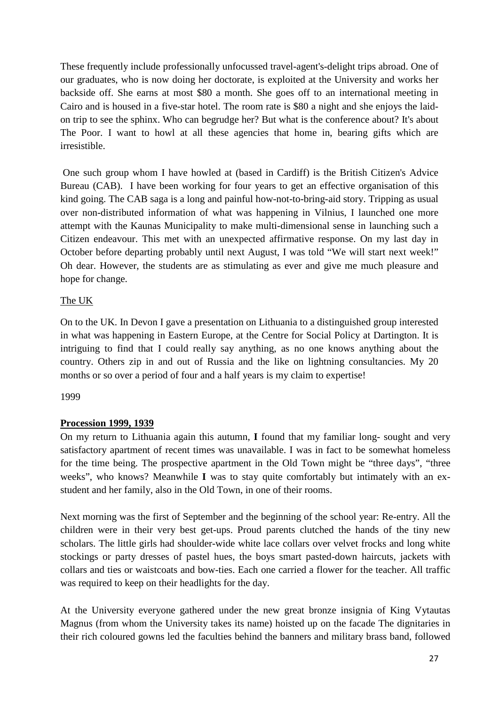These frequently include professionally unfocussed travel-agent's-delight trips abroad. One of our graduates, who is now doing her doctorate, is exploited at the University and works her backside off. She earns at most \$80 a month. She goes off to an international meeting in Cairo and is housed in a five-star hotel. The room rate is \$80 a night and she enjoys the laidon trip to see the sphinx. Who can begrudge her? But what is the conference about? It's about The Poor. I want to howl at all these agencies that home in, bearing gifts which are irresistible.

One such group whom I have howled at (based in Cardiff) is the British Citizen's Advice Bureau (CAB). I have been working for four years to get an effective organisation of this kind going. The CAB saga is a long and painful how-not-to-bring-aid story. Tripping as usual over non-distributed information of what was happening in Vilnius, I launched one more attempt with the Kaunas Municipality to make multi-dimensional sense in launching such a Citizen endeavour. This met with an unexpected affirmative response. On my last day in October before departing probably until next August, I was told "We will start next week!" Oh dear. However, the students are as stimulating as ever and give me much pleasure and hope for change.

# The UK

On to the UK. In Devon I gave a presentation on Lithuania to a distinguished group interested in what was happening in Eastern Europe, at the Centre for Social Policy at Dartington. It is intriguing to find that I could really say anything, as no one knows anything about the country. Others zip in and out of Russia and the like on lightning consultancies. My 20 months or so over a period of four and a half years is my claim to expertise!

# 1999

# **Procession 1999, 1939**

On my return to Lithuania again this autumn, **I** found that my familiar long- sought and very satisfactory apartment of recent times was unavailable. I was in fact to be somewhat homeless for the time being. The prospective apartment in the Old Town might be "three days", "three weeks", who knows? Meanwhile **I** was to stay quite comfortably but intimately with an exstudent and her family, also in the Old Town, in one of their rooms.

Next morning was the first of September and the beginning of the school year: Re-entry. All the children were in their very best get-ups. Proud parents clutched the hands of the tiny new scholars. The little girls had shoulder-wide white lace collars over velvet frocks and long white stockings or party dresses of pastel hues, the boys smart pasted-down haircuts, jackets with collars and ties or waistcoats and bow-ties. Each one carried a flower for the teacher. All traffic was required to keep on their headlights for the day.

At the University everyone gathered under the new great bronze insignia of King Vytautas Magnus (from whom the University takes its name) hoisted up on the facade The dignitaries in their rich coloured gowns led the faculties behind the banners and military brass band, followed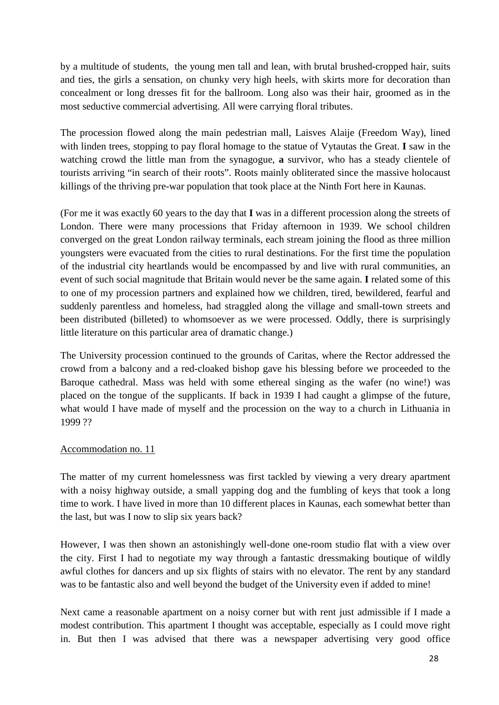by a multitude of students, the young men tall and lean, with brutal brushed-cropped hair, suits and ties, the girls a sensation, on chunky very high heels, with skirts more for decoration than concealment or long dresses fit for the ballroom. Long also was their hair, groomed as in the most seductive commercial advertising. All were carrying floral tributes.

The procession flowed along the main pedestrian mall, Laisves Alaije (Freedom Way), lined with linden trees, stopping to pay floral homage to the statue of Vytautas the Great. **I** saw in the watching crowd the little man from the synagogue, **a** survivor, who has a steady clientele of tourists arriving "in search of their roots". Roots mainly obliterated since the massive holocaust killings of the thriving pre-war population that took place at the Ninth Fort here in Kaunas.

(For me it was exactly 60 years to the day that **I** was in a different procession along the streets of London. There were many processions that Friday afternoon in 1939. We school children converged on the great London railway terminals, each stream joining the flood as three million youngsters were evacuated from the cities to rural destinations. For the first time the population of the industrial city heartlands would be encompassed by and live with rural communities, an event of such social magnitude that Britain would never be the same again. **I** related some of this to one of my procession partners and explained how we children, tired, bewildered, fearful and suddenly parentless and homeless, had straggled along the village and small-town streets and been distributed (billeted) to whomsoever as we were processed. Oddly, there is surprisingly little literature on this particular area of dramatic change.)

The University procession continued to the grounds of Caritas, where the Rector addressed the crowd from a balcony and a red-cloaked bishop gave his blessing before we proceeded to the Baroque cathedral. Mass was held with some ethereal singing as the wafer (no wine!) was placed on the tongue of the supplicants. If back in 1939 I had caught a glimpse of the future, what would I have made of myself and the procession on the way to a church in Lithuania in 1999 ??

# Accommodation no. 11

The matter of my current homelessness was first tackled by viewing a very dreary apartment with a noisy highway outside, a small yapping dog and the fumbling of keys that took a long time to work. I have lived in more than 10 different places in Kaunas, each somewhat better than the last, but was I now to slip six years back?

However, I was then shown an astonishingly well-done one-room studio flat with a view over the city. First I had to negotiate my way through a fantastic dressmaking boutique of wildly awful clothes for dancers and up six flights of stairs with no elevator. The rent by any standard was to be fantastic also and well beyond the budget of the University even if added to mine!

Next came a reasonable apartment on a noisy corner but with rent just admissible if I made a modest contribution. This apartment I thought was acceptable, especially as I could move right in. But then I was advised that there was a newspaper advertising very good office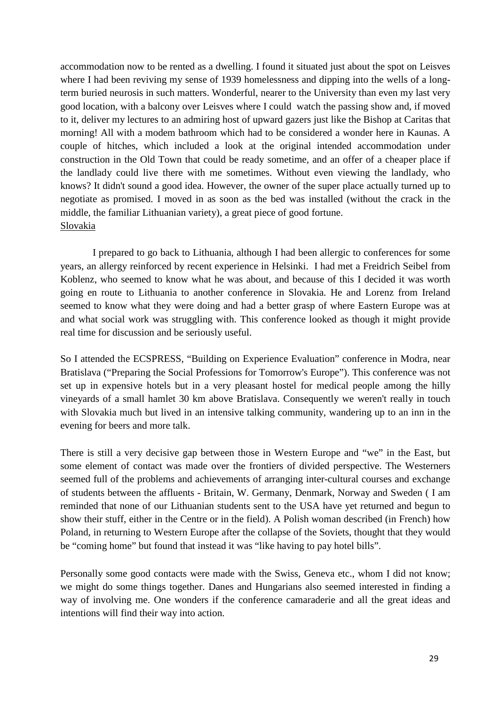accommodation now to be rented as a dwelling. I found it situated just about the spot on Leisves where I had been reviving my sense of 1939 homelessness and dipping into the wells of a longterm buried neurosis in such matters. Wonderful, nearer to the University than even my last very good location, with a balcony over Leisves where I could watch the passing show and, if moved to it, deliver my lectures to an admiring host of upward gazers just like the Bishop at Caritas that morning! All with a modem bathroom which had to be considered a wonder here in Kaunas. A couple of hitches, which included a look at the original intended accommodation under construction in the Old Town that could be ready sometime, and an offer of a cheaper place if the landlady could live there with me sometimes. Without even viewing the landlady, who knows? It didn't sound a good idea. However, the owner of the super place actually turned up to negotiate as promised. I moved in as soon as the bed was installed (without the crack in the middle, the familiar Lithuanian variety), a great piece of good fortune. Slovakia

I prepared to go back to Lithuania, although I had been allergic to conferences for some years, an allergy reinforced by recent experience in Helsinki. I had met a Freidrich Seibel from Koblenz, who seemed to know what he was about, and because of this I decided it was worth going en route to Lithuania to another conference in Slovakia. He and Lorenz from Ireland seemed to know what they were doing and had a better grasp of where Eastern Europe was at and what social work was struggling with. This conference looked as though it might provide real time for discussion and be seriously useful.

So I attended the ECSPRESS, "Building on Experience Evaluation" conference in Modra, near Bratislava ("Preparing the Social Professions for Tomorrow's Europe"). This conference was not set up in expensive hotels but in a very pleasant hostel for medical people among the hilly vineyards of a small hamlet 30 km above Bratislava. Consequently we weren't really in touch with Slovakia much but lived in an intensive talking community, wandering up to an inn in the evening for beers and more talk.

There is still a very decisive gap between those in Western Europe and "we" in the East, but some element of contact was made over the frontiers of divided perspective. The Westerners seemed full of the problems and achievements of arranging inter-cultural courses and exchange of students between the affluents - Britain, W. Germany, Denmark, Norway and Sweden ( I am reminded that none of our Lithuanian students sent to the USA have yet returned and begun to show their stuff, either in the Centre or in the field). A Polish woman described (in French) how Poland, in returning to Western Europe after the collapse of the Soviets, thought that they would be "coming home" but found that instead it was "like having to pay hotel bills".

Personally some good contacts were made with the Swiss, Geneva etc., whom I did not know; we might do some things together. Danes and Hungarians also seemed interested in finding a way of involving me. One wonders if the conference camaraderie and all the great ideas and intentions will find their way into action.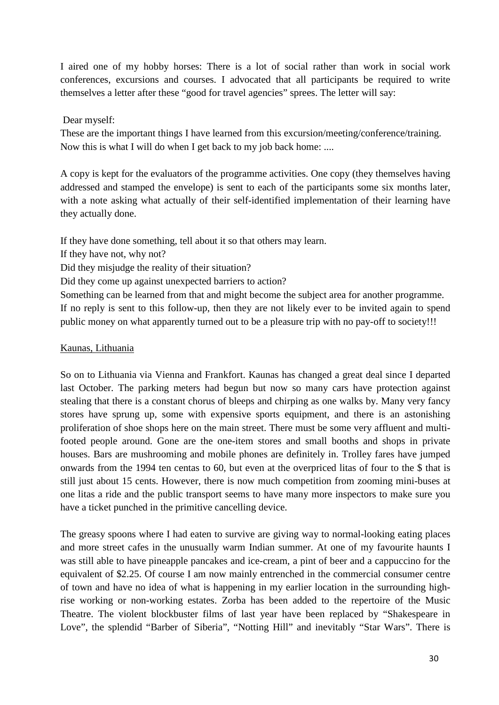I aired one of my hobby horses: There is a lot of social rather than work in social work conferences, excursions and courses. I advocated that all participants be required to write themselves a letter after these "good for travel agencies" sprees. The letter will say:

## Dear myself:

These are the important things I have learned from this excursion/meeting/conference/training. Now this is what I will do when I get back to my job back home: ....

A copy is kept for the evaluators of the programme activities. One copy (they themselves having addressed and stamped the envelope) is sent to each of the participants some six months later, with a note asking what actually of their self-identified implementation of their learning have they actually done.

If they have done something, tell about it so that others may learn.

If they have not, why not?

Did they misjudge the reality of their situation?

Did they come up against unexpected barriers to action?

Something can be learned from that and might become the subject area for another programme. If no reply is sent to this follow-up, then they are not likely ever to be invited again to spend public money on what apparently turned out to be a pleasure trip with no pay-off to society!!!

### Kaunas, Lithuania

So on to Lithuania via Vienna and Frankfort. Kaunas has changed a great deal since I departed last October. The parking meters had begun but now so many cars have protection against stealing that there is a constant chorus of bleeps and chirping as one walks by. Many very fancy stores have sprung up, some with expensive sports equipment, and there is an astonishing proliferation of shoe shops here on the main street. There must be some very affluent and multifooted people around. Gone are the one-item stores and small booths and shops in private houses. Bars are mushrooming and mobile phones are definitely in. Trolley fares have jumped onwards from the 1994 ten centas to 60, but even at the overpriced litas of four to the \$ that is still just about 15 cents. However, there is now much competition from zooming mini-buses at one litas a ride and the public transport seems to have many more inspectors to make sure you have a ticket punched in the primitive cancelling device.

The greasy spoons where I had eaten to survive are giving way to normal-looking eating places and more street cafes in the unusually warm Indian summer. At one of my favourite haunts I was still able to have pineapple pancakes and ice-cream, a pint of beer and a cappuccino for the equivalent of \$2.25. Of course I am now mainly entrenched in the commercial consumer centre of town and have no idea of what is happening in my earlier location in the surrounding highrise working or non-working estates. Zorba has been added to the repertoire of the Music Theatre. The violent blockbuster films of last year have been replaced by "Shakespeare in Love", the splendid "Barber of Siberia", "Notting Hill" and inevitably "Star Wars". There is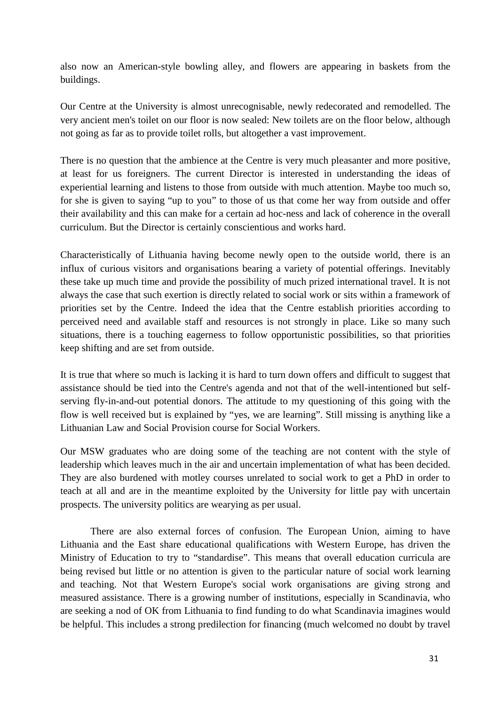also now an American-style bowling alley, and flowers are appearing in baskets from the buildings.

Our Centre at the University is almost unrecognisable, newly redecorated and remodelled. The very ancient men's toilet on our floor is now sealed: New toilets are on the floor below, although not going as far as to provide toilet rolls, but altogether a vast improvement.

There is no question that the ambience at the Centre is very much pleasanter and more positive, at least for us foreigners. The current Director is interested in understanding the ideas of experiential learning and listens to those from outside with much attention. Maybe too much so, for she is given to saying "up to you" to those of us that come her way from outside and offer their availability and this can make for a certain ad hoc-ness and lack of coherence in the overall curriculum. But the Director is certainly conscientious and works hard.

Characteristically of Lithuania having become newly open to the outside world, there is an influx of curious visitors and organisations bearing a variety of potential offerings. Inevitably these take up much time and provide the possibility of much prized international travel. It is not always the case that such exertion is directly related to social work or sits within a framework of priorities set by the Centre. Indeed the idea that the Centre establish priorities according to perceived need and available staff and resources is not strongly in place. Like so many such situations, there is a touching eagerness to follow opportunistic possibilities, so that priorities keep shifting and are set from outside.

It is true that where so much is lacking it is hard to turn down offers and difficult to suggest that assistance should be tied into the Centre's agenda and not that of the well-intentioned but selfserving fly-in-and-out potential donors. The attitude to my questioning of this going with the flow is well received but is explained by "yes, we are learning". Still missing is anything like a Lithuanian Law and Social Provision course for Social Workers.

Our MSW graduates who are doing some of the teaching are not content with the style of leadership which leaves much in the air and uncertain implementation of what has been decided. They are also burdened with motley courses unrelated to social work to get a PhD in order to teach at all and are in the meantime exploited by the University for little pay with uncertain prospects. The university politics are wearying as per usual.

There are also external forces of confusion. The European Union, aiming to have Lithuania and the East share educational qualifications with Western Europe, has driven the Ministry of Education to try to "standardise". This means that overall education curricula are being revised but little or no attention is given to the particular nature of social work learning and teaching. Not that Western Europe's social work organisations are giving strong and measured assistance. There is a growing number of institutions, especially in Scandinavia, who are seeking a nod of OK from Lithuania to find funding to do what Scandinavia imagines would be helpful. This includes a strong predilection for financing (much welcomed no doubt by travel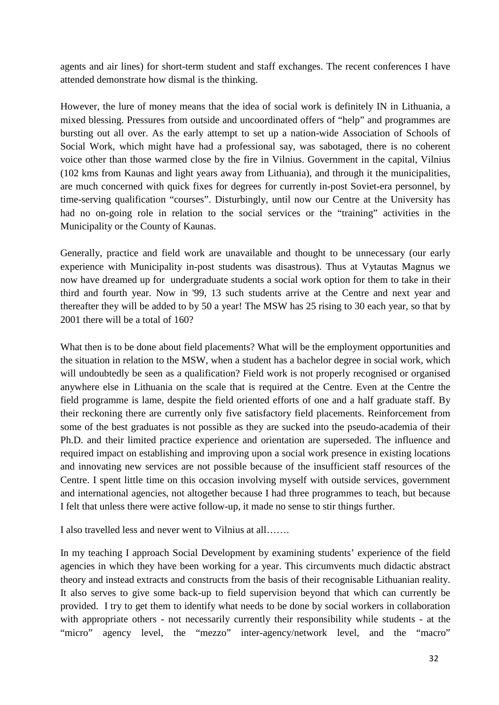agents and air lines) for short-term student and staff exchanges. The recent conferences I have attended demonstrate how dismal is the thinking.

However, the lure of money means that the idea of social work is definitely IN in Lithuania, a mixed blessing. Pressures from outside and uncoordinated offers of "help" and programmes are bursting out all over. As the early attempt to set up a nation-wide Association of Schools of Social Work, which might have had a professional say, was sabotaged, there is no coherent voice other than those warmed close by the fire in Vilnius. Government in the capital, Vilnius (102 kms from Kaunas and light years away from Lithuania), and through it the municipalities, are much concerned with quick fixes for degrees for currently in-post Soviet-era personnel, by time-serving qualification "courses". Disturbingly, until now our Centre at the University has had no on-going role in relation to the social services or the "training" activities in the Municipality or the County of Kaunas.

Generally, practice and field work are unavailable and thought to be unnecessary (our early experience with Municipality in-post students was disastrous). Thus at Vytautas Magnus we now have dreamed up for undergraduate students a social work option for them to take in their third and fourth year. Now in '99, 13 such students arrive at the Centre and next year and thereafter they will be added to by 50 a year! The MSW has 25 rising to 30 each year, so that by 2001 there will be a total of 160?

What then is to be done about field placements? What will be the employment opportunities and the situation in relation to the MSW, when a student has a bachelor degree in social work, which will undoubtedly be seen as a qualification? Field work is not properly recognised or organised anywhere else in Lithuania on the scale that is required at the Centre. Even at the Centre the field programme is lame, despite the field oriented efforts of one and a half graduate staff. By their reckoning there are currently only five satisfactory field placements. Reinforcement from some of the best graduates is not possible as they are sucked into the pseudo-academia of their Ph.D. and their limited practice experience and orientation are superseded. The influence and required impact on establishing and improving upon a social work presence in existing locations and innovating new services are not possible because of the insufficient staff resources of the Centre. I spent little time on this occasion involving myself with outside services, government and international agencies, not altogether because I had three programmes to teach, but because I felt that unless there were active follow-up, it made no sense to stir things further.

I also travelled less and never went to Vilnius at all…….

In my teaching I approach Social Development by examining students' experience of the field agencies in which they have been working for a year. This circumvents much didactic abstract theory and instead extracts and constructs from the basis of their recognisable Lithuanian reality. It also serves to give some back-up to field supervision beyond that which can currently be provided. I try to get them to identify what needs to be done by social workers in collaboration with appropriate others - not necessarily currently their responsibility while students - at the "micro" agency level, the "mezzo" inter-agency/network level, and the "macro"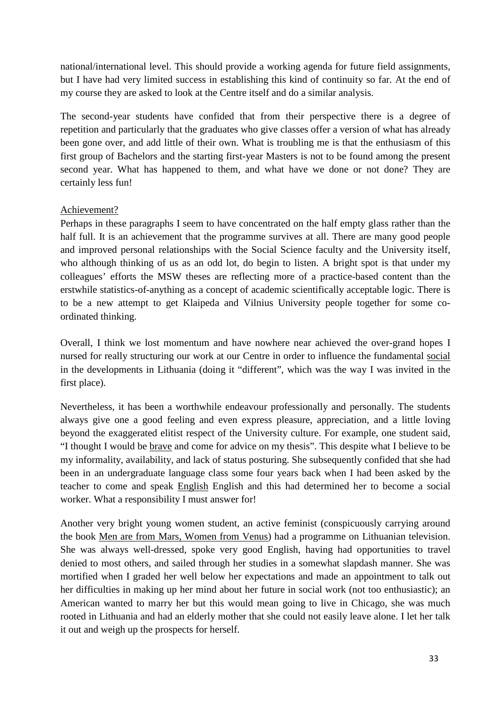national/international level. This should provide a working agenda for future field assignments, but I have had very limited success in establishing this kind of continuity so far. At the end of my course they are asked to look at the Centre itself and do a similar analysis.

The second-year students have confided that from their perspective there is a degree of repetition and particularly that the graduates who give classes offer a version of what has already been gone over, and add little of their own. What is troubling me is that the enthusiasm of this first group of Bachelors and the starting first-year Masters is not to be found among the present second year. What has happened to them, and what have we done or not done? They are certainly less fun!

# Achievement?

Perhaps in these paragraphs I seem to have concentrated on the half empty glass rather than the half full. It is an achievement that the programme survives at all. There are many good people and improved personal relationships with the Social Science faculty and the University itself, who although thinking of us as an odd lot, do begin to listen. A bright spot is that under my colleagues' efforts the MSW theses are reflecting more of a practice-based content than the erstwhile statistics-of-anything as a concept of academic scientifically acceptable logic. There is to be a new attempt to get Klaipeda and Vilnius University people together for some coordinated thinking.

Overall, I think we lost momentum and have nowhere near achieved the over-grand hopes I nursed for really structuring our work at our Centre in order to influence the fundamental social in the developments in Lithuania (doing it "different", which was the way I was invited in the first place).

Nevertheless, it has been a worthwhile endeavour professionally and personally. The students always give one a good feeling and even express pleasure, appreciation, and a little loving beyond the exaggerated elitist respect of the University culture. For example, one student said, "I thought I would be brave and come for advice on my thesis". This despite what I believe to be my informality, availability, and lack of status posturing. She subsequently confided that she had been in an undergraduate language class some four years back when I had been asked by the teacher to come and speak English English and this had determined her to become a social worker. What a responsibility I must answer for!

Another very bright young women student, an active feminist (conspicuously carrying around the book Men are from Mars, Women from Venus) had a programme on Lithuanian television. She was always well-dressed, spoke very good English, having had opportunities to travel denied to most others, and sailed through her studies in a somewhat slapdash manner. She was mortified when I graded her well below her expectations and made an appointment to talk out her difficulties in making up her mind about her future in social work (not too enthusiastic); an American wanted to marry her but this would mean going to live in Chicago, she was much rooted in Lithuania and had an elderly mother that she could not easily leave alone. I let her talk it out and weigh up the prospects for herself.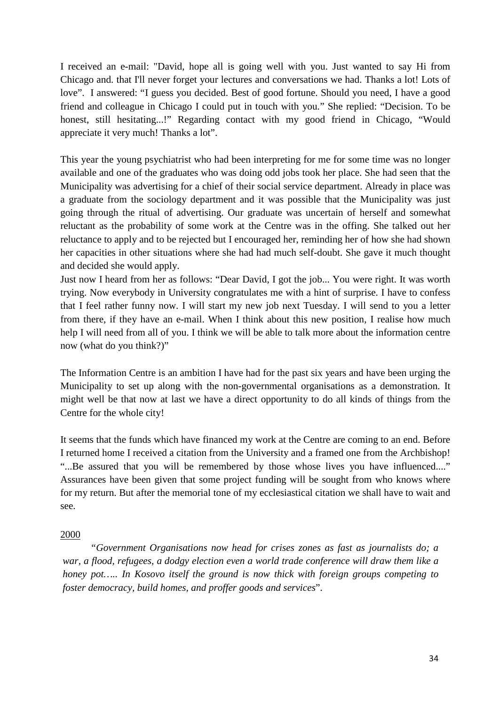I received an e-mail: "David, hope all is going well with you. Just wanted to say Hi from Chicago and. that I'll never forget your lectures and conversations we had. Thanks a lot! Lots of love". I answered: "I guess you decided. Best of good fortune. Should you need, I have a good friend and colleague in Chicago I could put in touch with you." She replied: "Decision. To be honest, still hesitating...!" Regarding contact with my good friend in Chicago, "Would appreciate it very much! Thanks a lot".

This year the young psychiatrist who had been interpreting for me for some time was no longer available and one of the graduates who was doing odd jobs took her place. She had seen that the Municipality was advertising for a chief of their social service department. Already in place was a graduate from the sociology department and it was possible that the Municipality was just going through the ritual of advertising. Our graduate was uncertain of herself and somewhat reluctant as the probability of some work at the Centre was in the offing. She talked out her reluctance to apply and to be rejected but I encouraged her, reminding her of how she had shown her capacities in other situations where she had had much self-doubt. She gave it much thought and decided she would apply.

Just now I heard from her as follows: "Dear David, I got the job... You were right. It was worth trying. Now everybody in University congratulates me with a hint of surprise. I have to confess that I feel rather funny now. I will start my new job next Tuesday. I will send to you a letter from there, if they have an e-mail. When I think about this new position, I realise how much help I will need from all of you. I think we will be able to talk more about the information centre now (what do you think?)"

The Information Centre is an ambition I have had for the past six years and have been urging the Municipality to set up along with the non-governmental organisations as a demonstration. It might well be that now at last we have a direct opportunity to do all kinds of things from the Centre for the whole city!

It seems that the funds which have financed my work at the Centre are coming to an end. Before I returned home I received a citation from the University and a framed one from the Archbishop! "...Be assured that you will be remembered by those whose lives you have influenced...." Assurances have been given that some project funding will be sought from who knows where for my return. But after the memorial tone of my ecclesiastical citation we shall have to wait and see.

### 2000

*"Government Organisations now head for crises zones as fast as journalists do; a war, a flood, refugees, a dodgy election even a world trade conference will draw them like a honey pot….. In Kosovo itself the ground is now thick with foreign groups competing to foster democracy, build homes, and proffer goods and services*".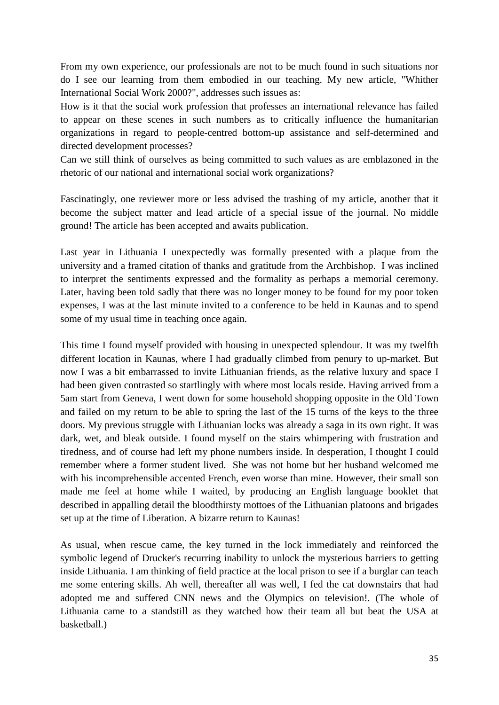From my own experience, our professionals are not to be much found in such situations nor do I see our learning from them embodied in our teaching. My new article, "Whither International Social Work 2000?", addresses such issues as:

How is it that the social work profession that professes an international relevance has failed to appear on these scenes in such numbers as to critically influence the humanitarian organizations in regard to people-centred bottom-up assistance and self-determined and directed development processes?

Can we still think of ourselves as being committed to such values as are emblazoned in the rhetoric of our national and international social work organizations?

Fascinatingly, one reviewer more or less advised the trashing of my article, another that it become the subject matter and lead article of a special issue of the journal. No middle ground! The article has been accepted and awaits publication.

Last year in Lithuania I unexpectedly was formally presented with a plaque from the university and a framed citation of thanks and gratitude from the Archbishop. I was inclined to interpret the sentiments expressed and the formality as perhaps a memorial ceremony. Later, having been told sadly that there was no longer money to be found for my poor token expenses, I was at the last minute invited to a conference to be held in Kaunas and to spend some of my usual time in teaching once again.

This time I found myself provided with housing in unexpected splendour. It was my twelfth different location in Kaunas, where I had gradually climbed from penury to up-market. But now I was a bit embarrassed to invite Lithuanian friends, as the relative luxury and space I had been given contrasted so startlingly with where most locals reside. Having arrived from a 5am start from Geneva, I went down for some household shopping opposite in the Old Town and failed on my return to be able to spring the last of the 15 turns of the keys to the three doors. My previous struggle with Lithuanian locks was already a saga in its own right. It was dark, wet, and bleak outside. I found myself on the stairs whimpering with frustration and tiredness, and of course had left my phone numbers inside. In desperation, I thought I could remember where a former student lived. She was not home but her husband welcomed me with his incomprehensible accented French, even worse than mine. However, their small son made me feel at home while I waited, by producing an English language booklet that described in appalling detail the bloodthirsty mottoes of the Lithuanian platoons and brigades set up at the time of Liberation. A bizarre return to Kaunas!

As usual, when rescue came, the key turned in the lock immediately and reinforced the symbolic legend of Drucker's recurring inability to unlock the mysterious barriers to getting inside Lithuania. I am thinking of field practice at the local prison to see if a burglar can teach me some entering skills. Ah well, thereafter all was well, I fed the cat downstairs that had adopted me and suffered CNN news and the Olympics on television!. (The whole of Lithuania came to a standstill as they watched how their team all but beat the USA at basketball.)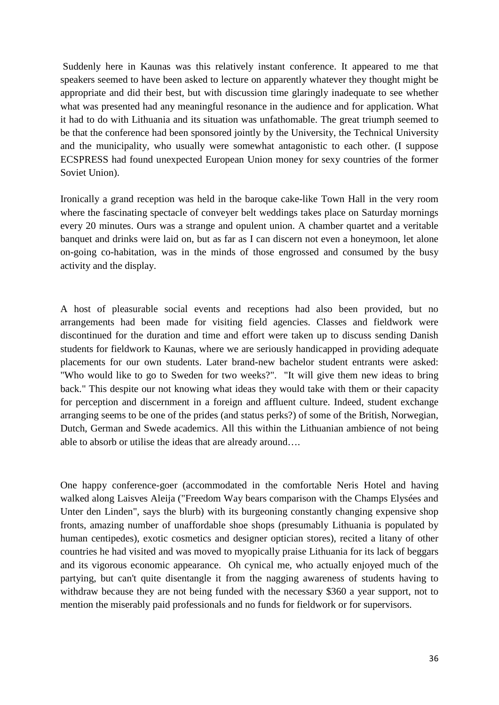Suddenly here in Kaunas was this relatively instant conference. It appeared to me that speakers seemed to have been asked to lecture on apparently whatever they thought might be appropriate and did their best, but with discussion time glaringly inadequate to see whether what was presented had any meaningful resonance in the audience and for application. What it had to do with Lithuania and its situation was unfathomable. The great triumph seemed to be that the conference had been sponsored jointly by the University, the Technical University and the municipality, who usually were somewhat antagonistic to each other. (I suppose ECSPRESS had found unexpected European Union money for sexy countries of the former Soviet Union).

Ironically a grand reception was held in the baroque cake-like Town Hall in the very room where the fascinating spectacle of conveyer belt weddings takes place on Saturday mornings every 20 minutes. Ours was a strange and opulent union. A chamber quartet and a veritable banquet and drinks were laid on, but as far as I can discern not even a honeymoon, let alone on-going co-habitation, was in the minds of those engrossed and consumed by the busy activity and the display.

A host of pleasurable social events and receptions had also been provided, but no arrangements had been made for visiting field agencies. Classes and fieldwork were discontinued for the duration and time and effort were taken up to discuss sending Danish students for fieldwork to Kaunas, where we are seriously handicapped in providing adequate placements for our own students. Later brand-new bachelor student entrants were asked: "Who would like to go to Sweden for two weeks?". "It will give them new ideas to bring back." This despite our not knowing what ideas they would take with them or their capacity for perception and discernment in a foreign and affluent culture. Indeed, student exchange arranging seems to be one of the prides (and status perks?) of some of the British, Norwegian, Dutch, German and Swede academics. All this within the Lithuanian ambience of not being able to absorb or utilise the ideas that are already around….

One happy conference-goer (accommodated in the comfortable Neris Hotel and having walked along Laisves Aleija ("Freedom Way bears comparison with the Champs Elysées and Unter den Linden", says the blurb) with its burgeoning constantly changing expensive shop fronts, amazing number of unaffordable shoe shops (presumably Lithuania is populated by human centipedes), exotic cosmetics and designer optician stores), recited a litany of other countries he had visited and was moved to myopically praise Lithuania for its lack of beggars and its vigorous economic appearance. Oh cynical me, who actually enjoyed much of the partying, but can't quite disentangle it from the nagging awareness of students having to withdraw because they are not being funded with the necessary \$360 a year support, not to mention the miserably paid professionals and no funds for fieldwork or for supervisors.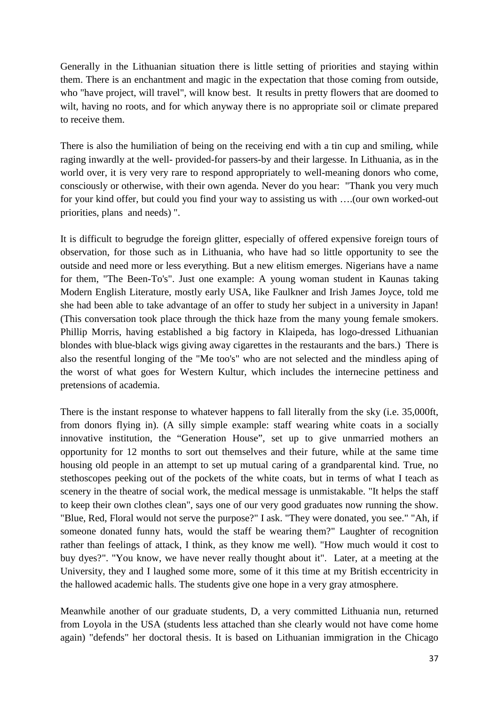Generally in the Lithuanian situation there is little setting of priorities and staying within them. There is an enchantment and magic in the expectation that those coming from outside, who "have project, will travel", will know best. It results in pretty flowers that are doomed to wilt, having no roots, and for which anyway there is no appropriate soil or climate prepared to receive them.

There is also the humiliation of being on the receiving end with a tin cup and smiling, while raging inwardly at the well- provided-for passers-by and their largesse. In Lithuania, as in the world over, it is very very rare to respond appropriately to well-meaning donors who come, consciously or otherwise, with their own agenda. Never do you hear: "Thank you very much for your kind offer, but could you find your way to assisting us with ….(our own worked-out priorities, plans and needs) ".

It is difficult to begrudge the foreign glitter, especially of offered expensive foreign tours of observation, for those such as in Lithuania, who have had so little opportunity to see the outside and need more or less everything. But a new elitism emerges. Nigerians have a name for them, "The Been-To's". Just one example: A young woman student in Kaunas taking Modern English Literature, mostly early USA, like Faulkner and Irish James Joyce, told me she had been able to take advantage of an offer to study her subject in a university in Japan! (This conversation took place through the thick haze from the many young female smokers. Phillip Morris, having established a big factory in Klaipeda, has logo-dressed Lithuanian blondes with blue-black wigs giving away cigarettes in the restaurants and the bars.) There is also the resentful longing of the "Me too's" who are not selected and the mindless aping of the worst of what goes for Western Kultur, which includes the internecine pettiness and pretensions of academia.

There is the instant response to whatever happens to fall literally from the sky (i.e. 35,000ft, from donors flying in). (A silly simple example: staff wearing white coats in a socially innovative institution, the "Generation House", set up to give unmarried mothers an opportunity for 12 months to sort out themselves and their future, while at the same time housing old people in an attempt to set up mutual caring of a grandparental kind. True, no stethoscopes peeking out of the pockets of the white coats, but in terms of what I teach as scenery in the theatre of social work, the medical message is unmistakable. "It helps the staff to keep their own clothes clean", says one of our very good graduates now running the show. "Blue, Red, Floral would not serve the purpose?" I ask. "They were donated, you see." "Ah, if someone donated funny hats, would the staff be wearing them?" Laughter of recognition rather than feelings of attack, I think, as they know me well). "How much would it cost to buy dyes?". "You know, we have never really thought about it". Later, at a meeting at the University, they and I laughed some more, some of it this time at my British eccentricity in the hallowed academic halls. The students give one hope in a very gray atmosphere.

Meanwhile another of our graduate students, D, a very committed Lithuania nun, returned from Loyola in the USA (students less attached than she clearly would not have come home again) "defends" her doctoral thesis. It is based on Lithuanian immigration in the Chicago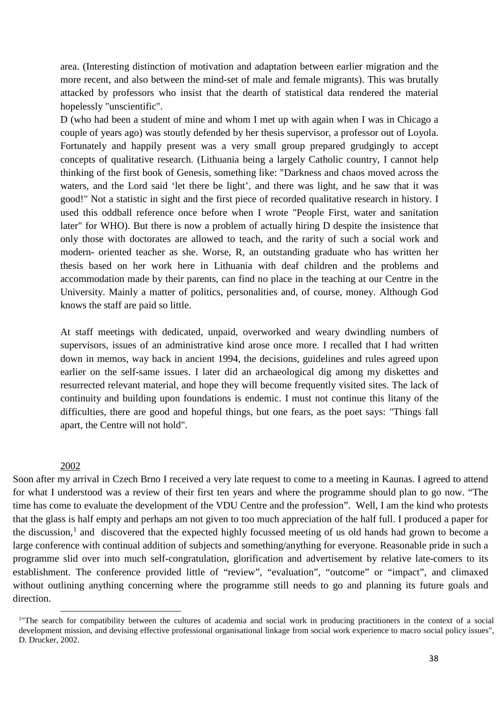area. (Interesting distinction of motivation and adaptation between earlier migration and the more recent, and also between the mind-set of male and female migrants). This was brutally attacked by professors who insist that the dearth of statistical data rendered the material hopelessly "unscientific".

D (who had been a student of mine and whom I met up with again when I was in Chicago a couple of years ago) was stoutly defended by her thesis supervisor, a professor out of Loyola. Fortunately and happily present was a very small group prepared grudgingly to accept concepts of qualitative research. (Lithuania being a largely Catholic country, I cannot help thinking of the first book of Genesis, something like: "Darkness and chaos moved across the waters, and the Lord said 'let there be light', and there was light, and he saw that it was good!" Not a statistic in sight and the first piece of recorded qualitative research in history. I used this oddball reference once before when I wrote "People First, water and sanitation later" for WHO). But there is now a problem of actually hiring D despite the insistence that only those with doctorates are allowed to teach, and the rarity of such a social work and modern- oriented teacher as she. Worse, R, an outstanding graduate who has written her thesis based on her work here in Lithuania with deaf children and the problems and accommodation made by their parents, can find no place in the teaching at our Centre in the University. Mainly a matter of politics, personalities and, of course, money. Although God knows the staff are paid so little.

At staff meetings with dedicated, unpaid, overworked and weary dwindling numbers of supervisors, issues of an administrative kind arose once more. I recalled that I had written down in memos, way back in ancient 1994, the decisions, guidelines and rules agreed upon earlier on the self-same issues. I later did an archaeological dig among my diskettes and resurrected relevant material, and hope they will become frequently visited sites. The lack of continuity and building upon foundations is endemic. I must not continue this litany of the difficulties, there are good and hopeful things, but one fears, as the poet says: "Things fall apart, the Centre will not hold".

#### 2002

**.** 

Soon after my arrival in Czech Brno I received a very late request to come to a meeting in Kaunas. I agreed to attend for what I understood was a review of their first ten years and where the programme should plan to go now. "The time has come to evaluate the development of the VDU Centre and the profession". Well, I am the kind who protests that the glass is half empty and perhaps am not given to too much appreciation of the half full. I produced a paper for the discussion,<sup>[1](#page-37-0)</sup> and discovered that the expected highly focussed meeting of us old hands had grown to become a large conference with continual addition of subjects and something/anything for everyone. Reasonable pride in such a programme slid over into much self-congratulation, glorification and advertisement by relative late-comers to its establishment. The conference provided little of "review", "evaluation", "outcome" or "impact", and climaxed without outlining anything concerning where the programme still needs to go and planning its future goals and direction.

<span id="page-37-0"></span><sup>&</sup>lt;sup>1</sup>The search for compatibility between the cultures of academia and social work in producing practitioners in the context of a social development mission, and devising effective professional organisational linkage from social work experience to macro social policy issues", D. Drucker, 2002.